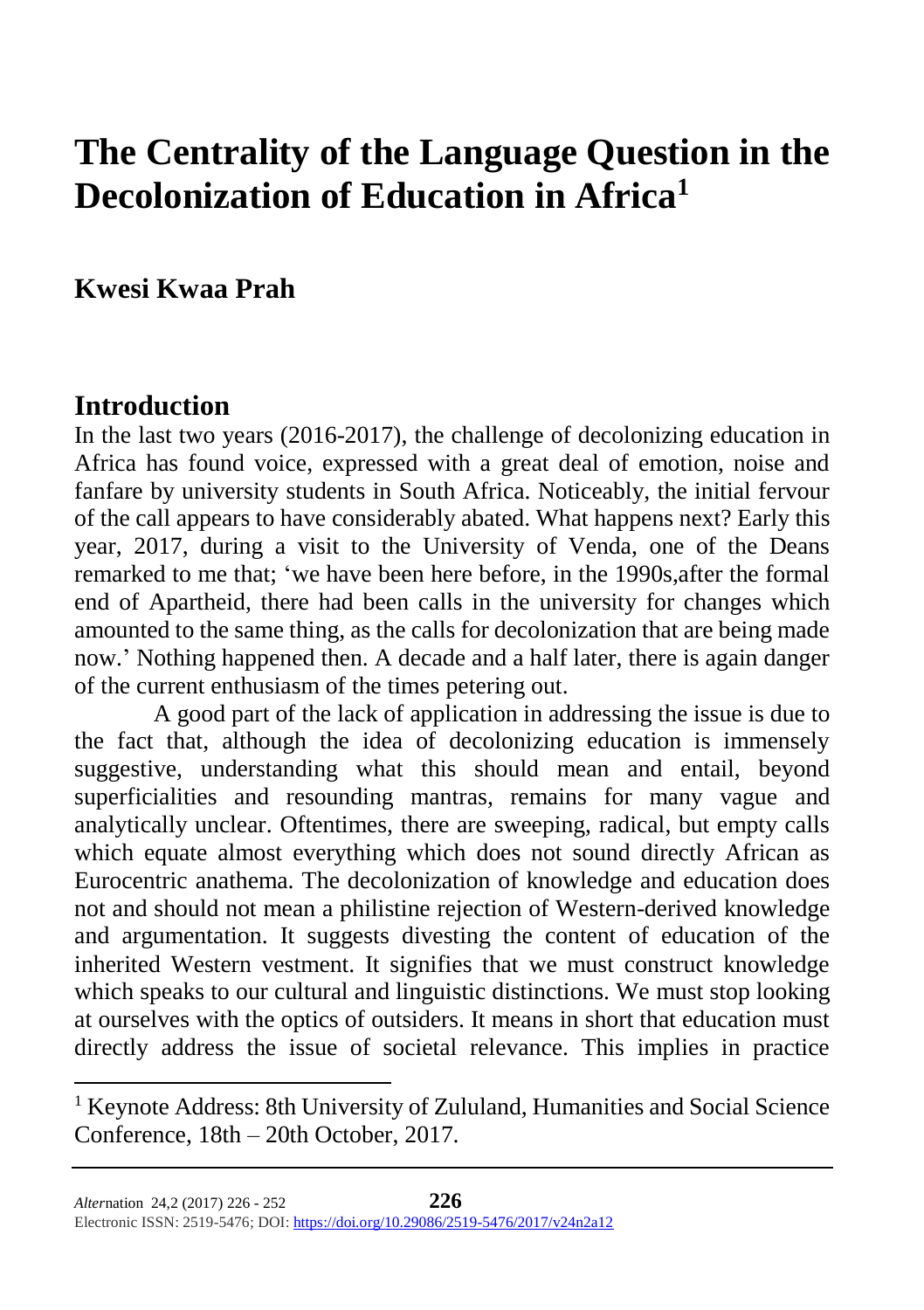# **The Centrality of the Language Question in the Decolonization of Education in Africa<sup>1</sup>**

### **Kwesi Kwaa Prah**

### **Introduction**

 $\overline{a}$ 

In the last two years (2016-2017), the challenge of decolonizing education in Africa has found voice, expressed with a great deal of emotion, noise and fanfare by university students in South Africa. Noticeably, the initial fervour of the call appears to have considerably abated. What happens next? Early this year, 2017, during a visit to the University of Venda, one of the Deans remarked to me that; 'we have been here before, in the 1990s,after the formal end of Apartheid, there had been calls in the university for changes which amounted to the same thing, as the calls for decolonization that are being made now.' Nothing happened then. A decade and a half later, there is again danger of the current enthusiasm of the times petering out.

A good part of the lack of application in addressing the issue is due to the fact that, although the idea of decolonizing education is immensely suggestive, understanding what this should mean and entail, beyond superficialities and resounding mantras, remains for many vague and analytically unclear. Oftentimes, there are sweeping, radical, but empty calls which equate almost everything which does not sound directly African as Eurocentric anathema. The decolonization of knowledge and education does not and should not mean a philistine rejection of Western-derived knowledge and argumentation. It suggests divesting the content of education of the inherited Western vestment. It signifies that we must construct knowledge which speaks to our cultural and linguistic distinctions. We must stop looking at ourselves with the optics of outsiders. It means in short that education must directly address the issue of societal relevance. This implies in practice

<sup>&</sup>lt;sup>1</sup> Keynote Address: 8th University of Zululand, Humanities and Social Science Conference, 18th – 20th October, 2017.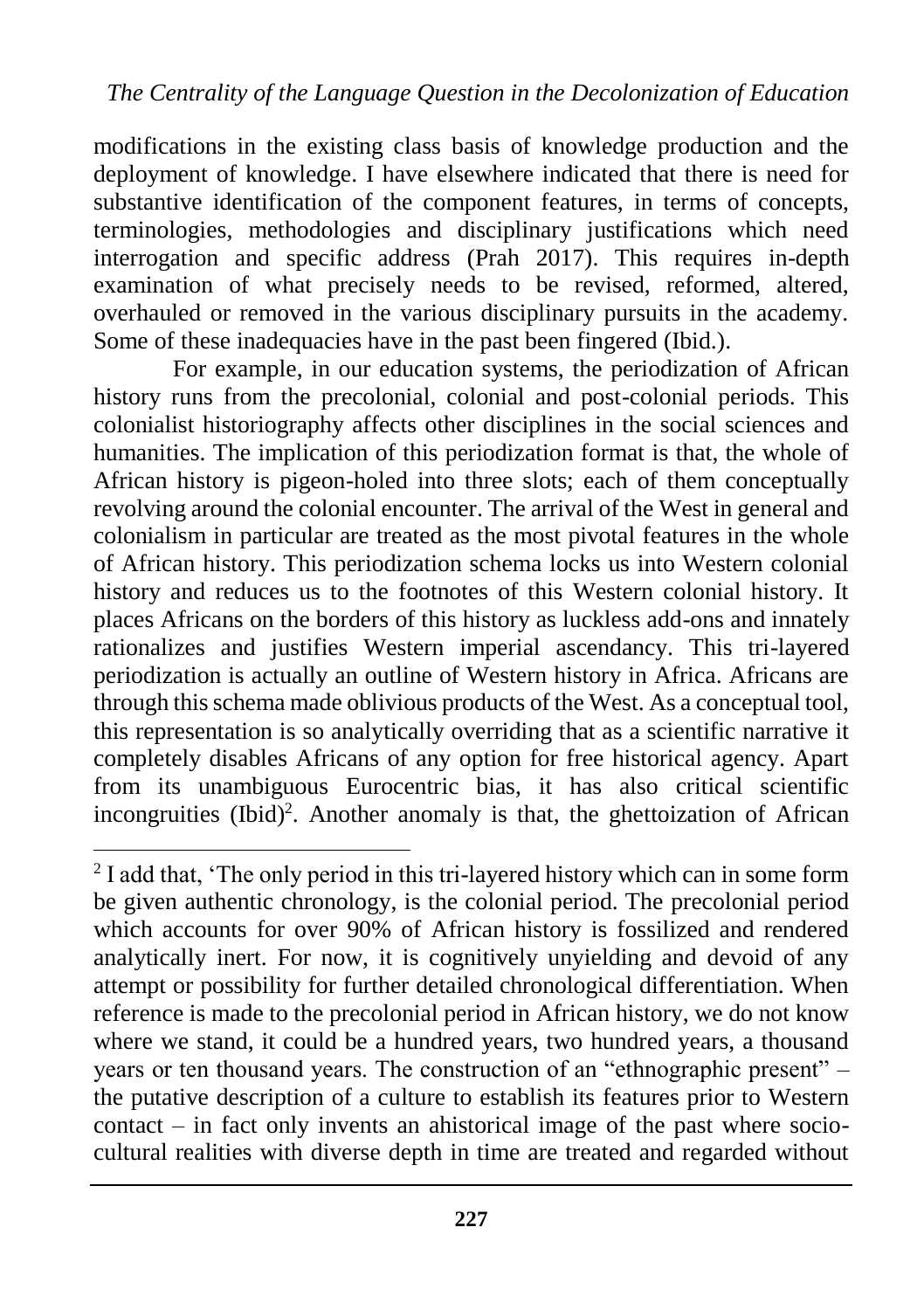modifications in the existing class basis of knowledge production and the deployment of knowledge. I have elsewhere indicated that there is need for substantive identification of the component features, in terms of concepts, terminologies, methodologies and disciplinary justifications which need interrogation and specific address (Prah 2017). This requires in-depth examination of what precisely needs to be revised, reformed, altered, overhauled or removed in the various disciplinary pursuits in the academy. Some of these inadequacies have in the past been fingered (Ibid.).

For example, in our education systems, the periodization of African history runs from the precolonial, colonial and post-colonial periods. This colonialist historiography affects other disciplines in the social sciences and humanities. The implication of this periodization format is that, the whole of African history is pigeon-holed into three slots; each of them conceptually revolving around the colonial encounter. The arrival of the West in general and colonialism in particular are treated as the most pivotal features in the whole of African history. This periodization schema locks us into Western colonial history and reduces us to the footnotes of this Western colonial history. It places Africans on the borders of this history as luckless add-ons and innately rationalizes and justifies Western imperial ascendancy. This tri-layered periodization is actually an outline of Western history in Africa. Africans are through this schema made oblivious products of the West. As a conceptual tool, this representation is so analytically overriding that as a scientific narrative it completely disables Africans of any option for free historical agency. Apart from its unambiguous Eurocentric bias, it has also critical scientific incongruities (Ibid)<sup>2</sup>. Another anomaly is that, the ghettoization of African

 $\overline{a}$ 

<sup>&</sup>lt;sup>2</sup> I add that, 'The only period in this tri-layered history which can in some form be given authentic chronology, is the colonial period. The precolonial period which accounts for over 90% of African history is fossilized and rendered analytically inert. For now, it is cognitively unyielding and devoid of any attempt or possibility for further detailed chronological differentiation. When reference is made to the precolonial period in African history, we do not know where we stand, it could be a hundred years, two hundred years, a thousand years or ten thousand years. The construction of an "ethnographic present" – the putative description of a culture to establish its features prior to Western contact – in fact only invents an ahistorical image of the past where sociocultural realities with diverse depth in time are treated and regarded without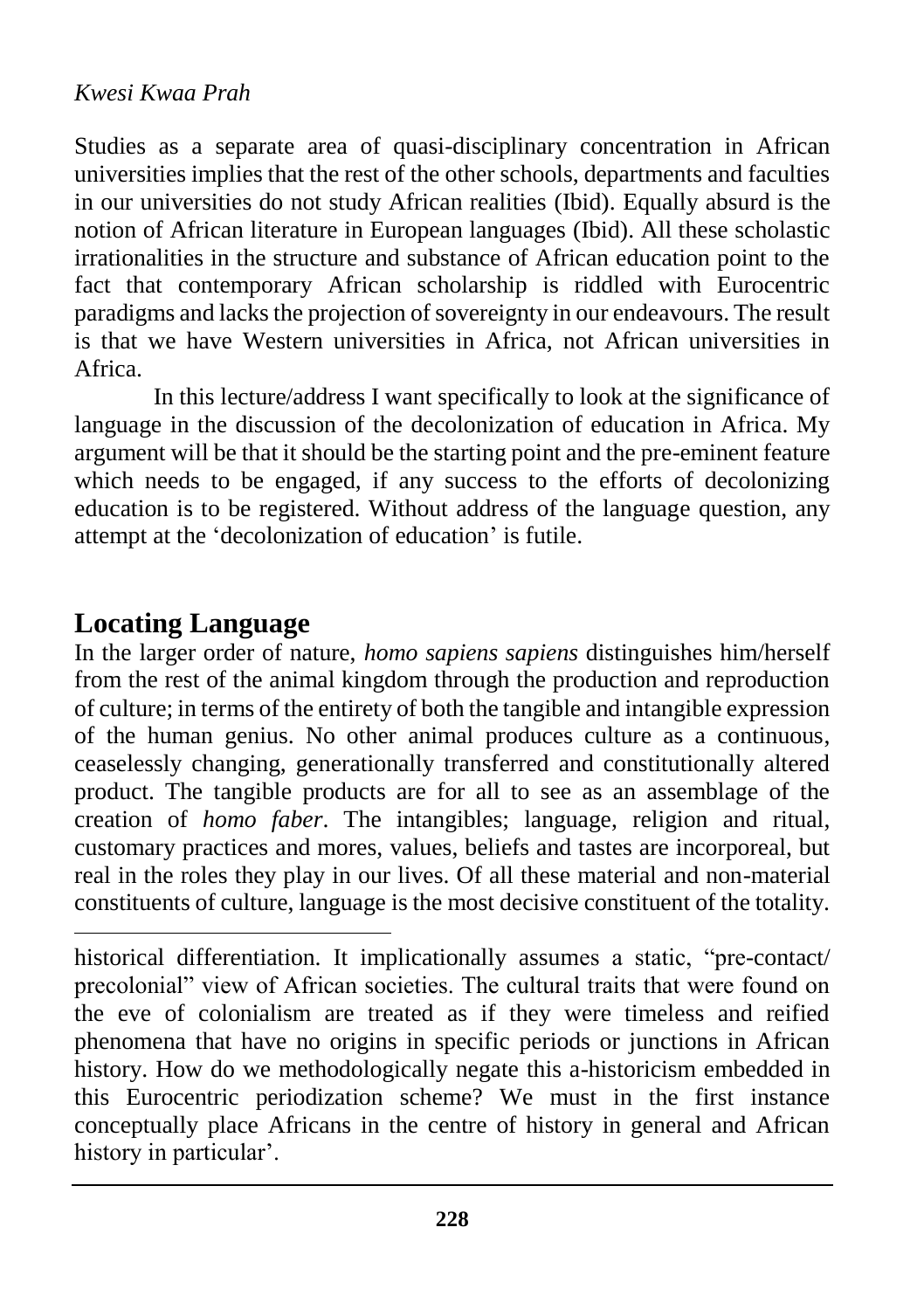Studies as a separate area of quasi-disciplinary concentration in African universities implies that the rest of the other schools, departments and faculties in our universities do not study African realities (Ibid). Equally absurd is the notion of African literature in European languages (Ibid). All these scholastic irrationalities in the structure and substance of African education point to the fact that contemporary African scholarship is riddled with Eurocentric paradigms and lacks the projection of sovereignty in our endeavours. The result is that we have Western universities in Africa, not African universities in Africa.

In this lecture/address I want specifically to look at the significance of language in the discussion of the decolonization of education in Africa. My argument will be that it should be the starting point and the pre-eminent feature which needs to be engaged, if any success to the efforts of decolonizing education is to be registered. Without address of the language question, any attempt at the 'decolonization of education' is futile.

### **Locating Language**

 $\overline{a}$ 

In the larger order of nature, *homo sapiens sapiens* distinguishes him/herself from the rest of the animal kingdom through the production and reproduction of culture; in terms of the entirety of both the tangible and intangible expression of the human genius. No other animal produces culture as a continuous, ceaselessly changing, generationally transferred and constitutionally altered product. The tangible products are for all to see as an assemblage of the creation of *homo faber*. The intangibles; language, religion and ritual, customary practices and mores, values, beliefs and tastes are incorporeal, but real in the roles they play in our lives. Of all these material and non-material constituents of culture, language is the most decisive constituent of the totality.

historical differentiation. It implicationally assumes a static, "pre-contact/ precolonial" view of African societies. The cultural traits that were found on the eve of colonialism are treated as if they were timeless and reified phenomena that have no origins in specific periods or junctions in African history. How do we methodologically negate this a-historicism embedded in this Eurocentric periodization scheme? We must in the first instance conceptually place Africans in the centre of history in general and African history in particular'.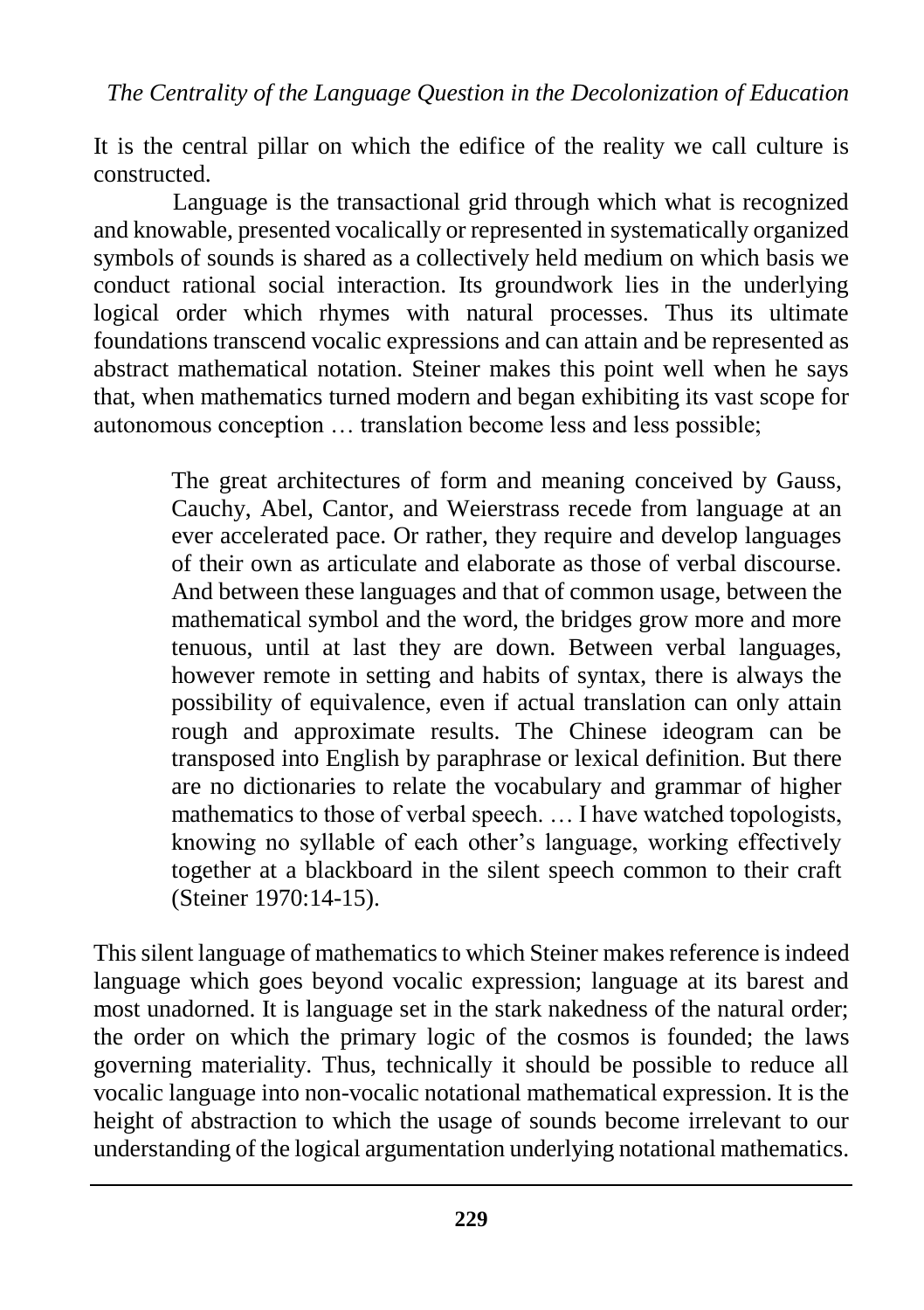It is the central pillar on which the edifice of the reality we call culture is constructed.

Language is the transactional grid through which what is recognized and knowable, presented vocalically or represented in systematically organized symbols of sounds is shared as a collectively held medium on which basis we conduct rational social interaction. Its groundwork lies in the underlying logical order which rhymes with natural processes. Thus its ultimate foundations transcend vocalic expressions and can attain and be represented as abstract mathematical notation. Steiner makes this point well when he says that, when mathematics turned modern and began exhibiting its vast scope for autonomous conception … translation become less and less possible;

> The great architectures of form and meaning conceived by Gauss, Cauchy, Abel, Cantor, and Weierstrass recede from language at an ever accelerated pace. Or rather, they require and develop languages of their own as articulate and elaborate as those of verbal discourse. And between these languages and that of common usage, between the mathematical symbol and the word, the bridges grow more and more tenuous, until at last they are down. Between verbal languages, however remote in setting and habits of syntax, there is always the possibility of equivalence, even if actual translation can only attain rough and approximate results. The Chinese ideogram can be transposed into English by paraphrase or lexical definition. But there are no dictionaries to relate the vocabulary and grammar of higher mathematics to those of verbal speech. ... I have watched topologists, knowing no syllable of each other's language, working effectively together at a blackboard in the silent speech common to their craft (Steiner 1970:14-15).

This silent language of mathematics to which Steiner makes reference is indeed language which goes beyond vocalic expression; language at its barest and most unadorned. It is language set in the stark nakedness of the natural order; the order on which the primary logic of the cosmos is founded; the laws governing materiality. Thus, technically it should be possible to reduce all vocalic language into non-vocalic notational mathematical expression. It is the height of abstraction to which the usage of sounds become irrelevant to our understanding of the logical argumentation underlying notational mathematics.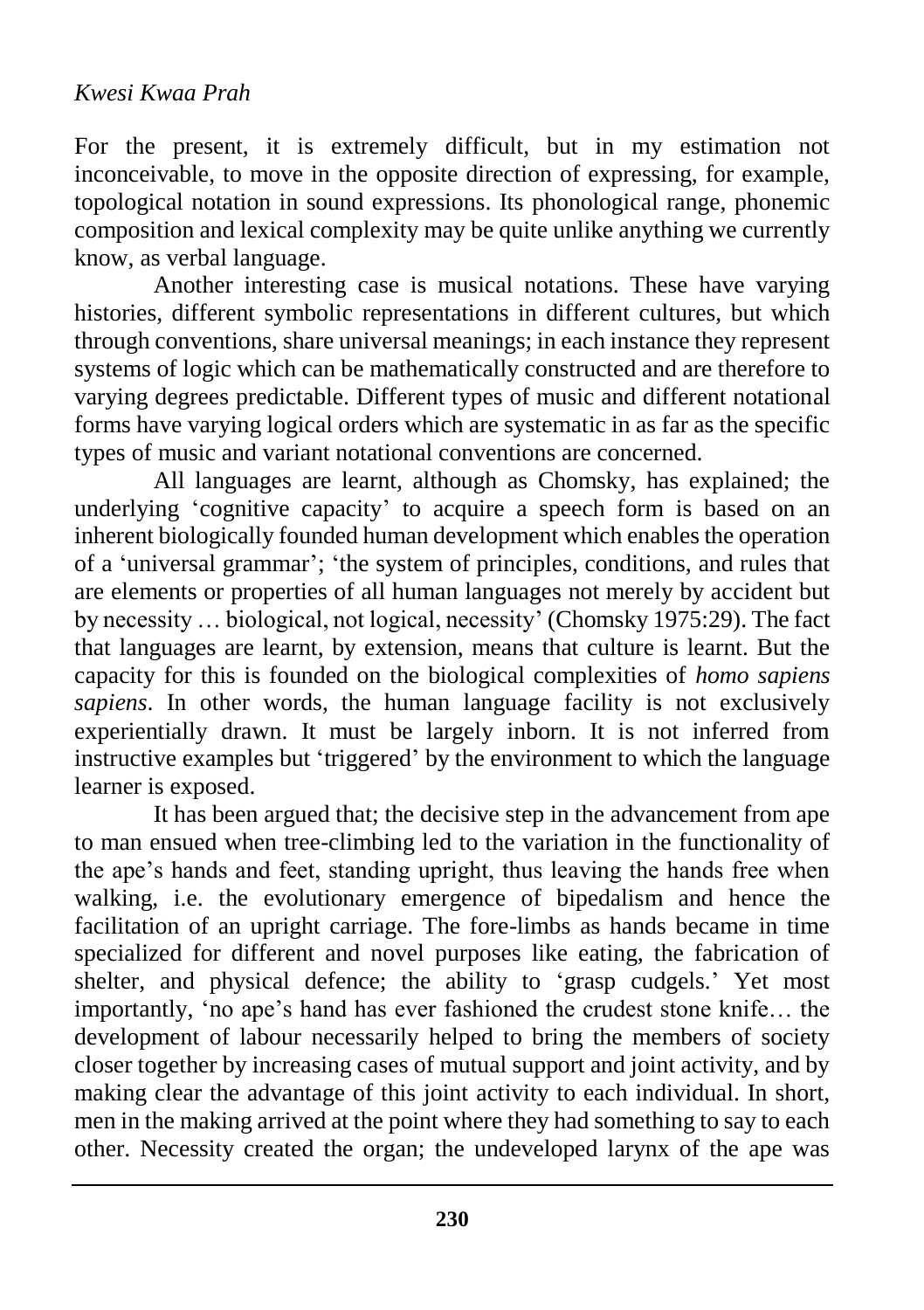For the present, it is extremely difficult, but in my estimation not inconceivable, to move in the opposite direction of expressing, for example, topological notation in sound expressions. Its phonological range, phonemic composition and lexical complexity may be quite unlike anything we currently know, as verbal language.

Another interesting case is musical notations. These have varying histories, different symbolic representations in different cultures, but which through conventions, share universal meanings; in each instance they represent systems of logic which can be mathematically constructed and are therefore to varying degrees predictable. Different types of music and different notational forms have varying logical orders which are systematic in as far as the specific types of music and variant notational conventions are concerned.

All languages are learnt, although as Chomsky, has explained; the underlying 'cognitive capacity' to acquire a speech form is based on an inherent biologically founded human development which enables the operation of a 'universal grammar'; 'the system of principles, conditions, and rules that are elements or properties of all human languages not merely by accident but by necessity … biological, not logical, necessity' (Chomsky 1975:29). The fact that languages are learnt, by extension, means that culture is learnt. But the capacity for this is founded on the biological complexities of *homo sapiens sapiens*. In other words, the human language facility is not exclusively experientially drawn. It must be largely inborn. It is not inferred from instructive examples but 'triggered' by the environment to which the language learner is exposed.

It has been argued that; the decisive step in the advancement from ape to man ensued when tree-climbing led to the variation in the functionality of the ape's hands and feet, standing upright, thus leaving the hands free when walking, i.e. the evolutionary emergence of bipedalism and hence the facilitation of an upright carriage. The fore-limbs as hands became in time specialized for different and novel purposes like eating, the fabrication of shelter, and physical defence; the ability to 'grasp cudgels.' Yet most importantly, 'no ape's hand has ever fashioned the crudest stone knife… the development of labour necessarily helped to bring the members of society closer together by increasing cases of mutual support and joint activity, and by making clear the advantage of this joint activity to each individual. In short, men in the making arrived at the point where they had something to say to each other. Necessity created the organ; the undeveloped larynx of the ape was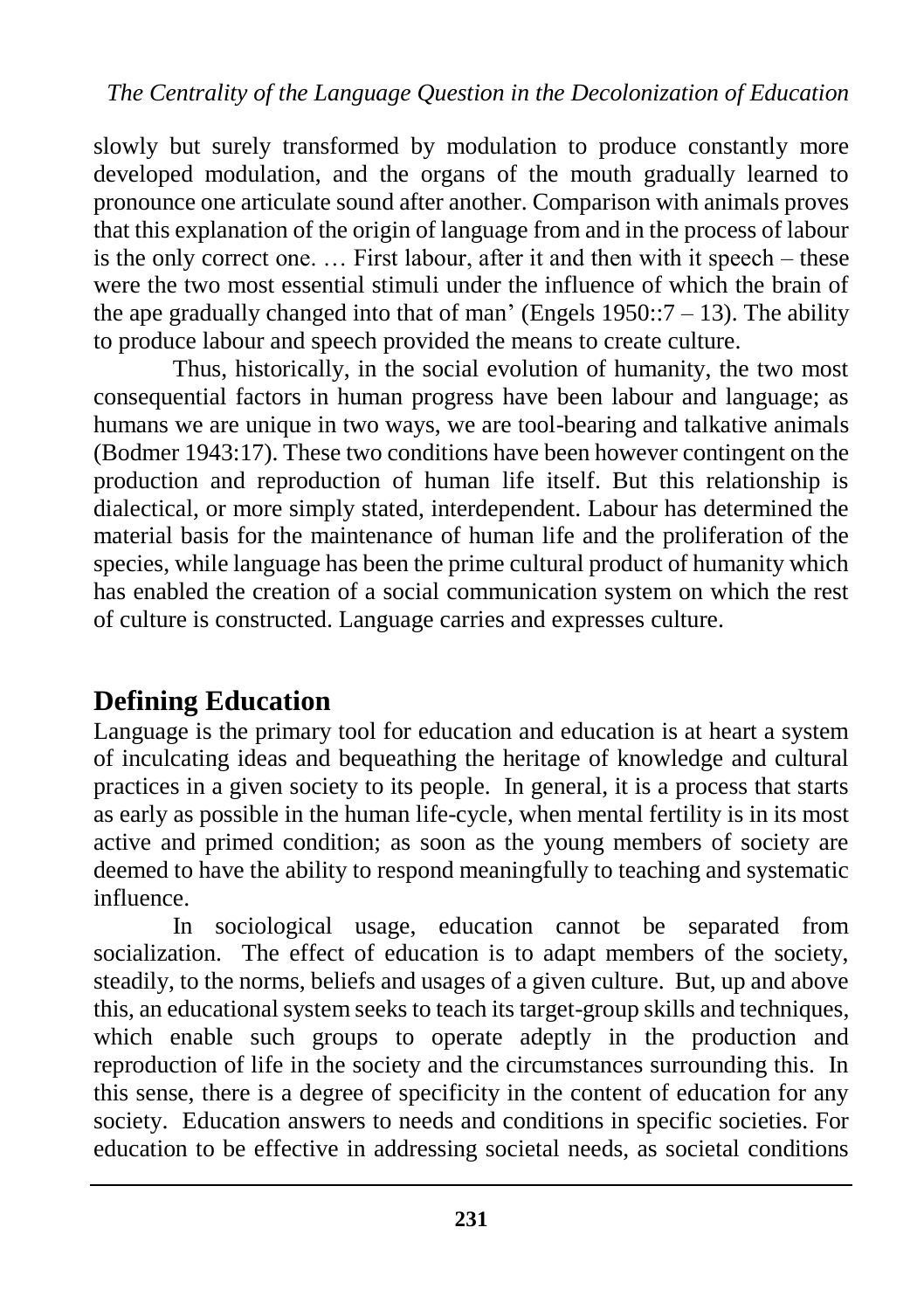slowly but surely transformed by modulation to produce constantly more developed modulation, and the organs of the mouth gradually learned to pronounce one articulate sound after another. Comparison with animals proves that this explanation of the origin of language from and in the process of labour is the only correct one. … First labour, after it and then with it speech – these were the two most essential stimuli under the influence of which the brain of the ape gradually changed into that of man' (Engels  $1950::7 - 13$ ). The ability to produce labour and speech provided the means to create culture.

Thus, historically, in the social evolution of humanity, the two most consequential factors in human progress have been labour and language; as humans we are unique in two ways, we are tool-bearing and talkative animals (Bodmer 1943:17). These two conditions have been however contingent on the production and reproduction of human life itself. But this relationship is dialectical, or more simply stated, interdependent. Labour has determined the material basis for the maintenance of human life and the proliferation of the species, while language has been the prime cultural product of humanity which has enabled the creation of a social communication system on which the rest of culture is constructed. Language carries and expresses culture.

# **Defining Education**

Language is the primary tool for education and education is at heart a system of inculcating ideas and bequeathing the heritage of knowledge and cultural practices in a given society to its people. In general, it is a process that starts as early as possible in the human life-cycle, when mental fertility is in its most active and primed condition; as soon as the young members of society are deemed to have the ability to respond meaningfully to teaching and systematic influence.

In sociological usage, education cannot be separated from socialization. The effect of education is to adapt members of the society, steadily, to the norms, beliefs and usages of a given culture. But, up and above this, an educational system seeks to teach its target-group skills and techniques, which enable such groups to operate adeptly in the production and reproduction of life in the society and the circumstances surrounding this. In this sense, there is a degree of specificity in the content of education for any society. Education answers to needs and conditions in specific societies. For education to be effective in addressing societal needs, as societal conditions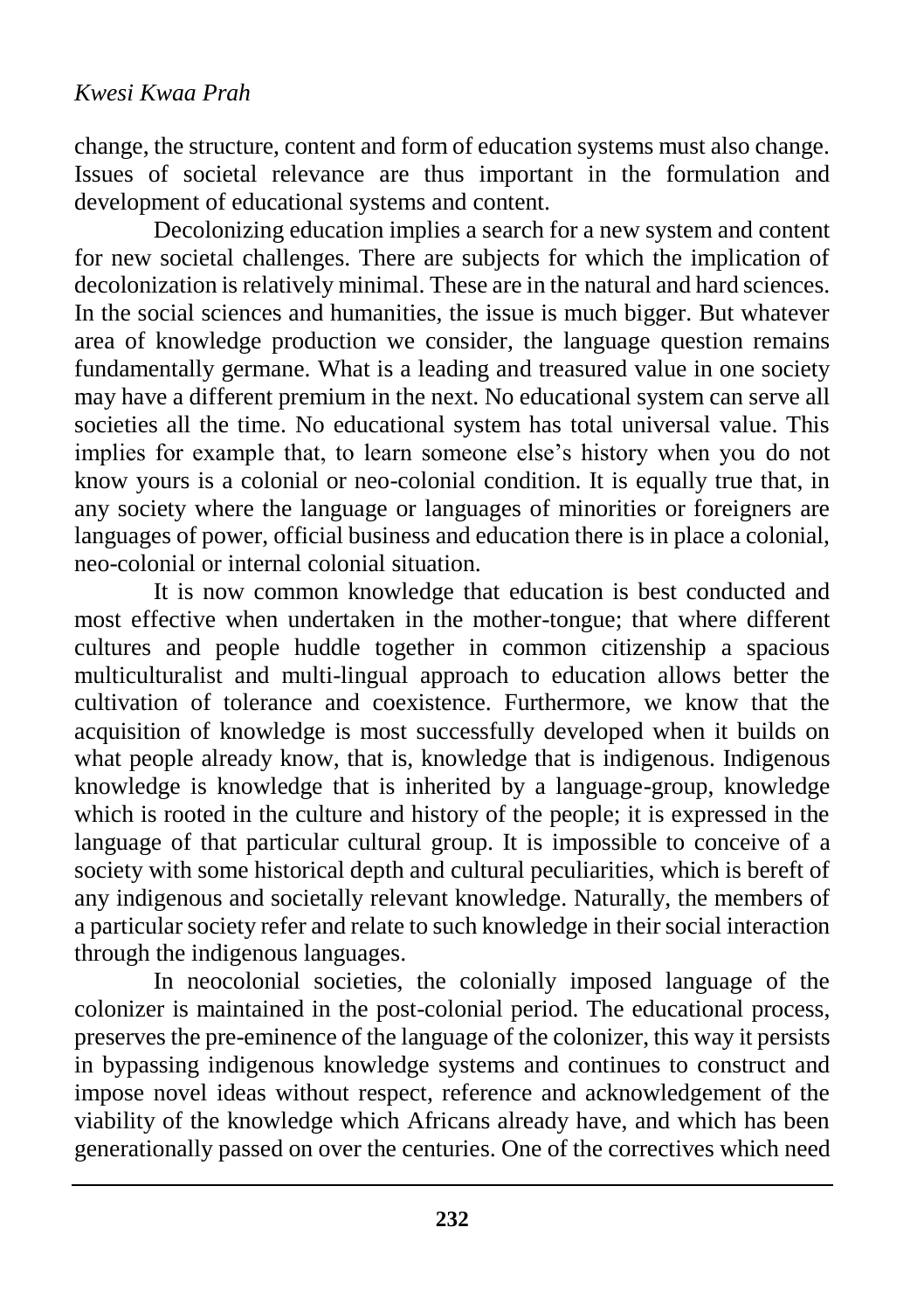change, the structure, content and form of education systems must also change. Issues of societal relevance are thus important in the formulation and development of educational systems and content.

Decolonizing education implies a search for a new system and content for new societal challenges. There are subjects for which the implication of decolonization is relatively minimal. These are in the natural and hard sciences. In the social sciences and humanities, the issue is much bigger. But whatever area of knowledge production we consider, the language question remains fundamentally germane. What is a leading and treasured value in one society may have a different premium in the next. No educational system can serve all societies all the time. No educational system has total universal value. This implies for example that, to learn someone else's history when you do not know yours is a colonial or neo-colonial condition. It is equally true that, in any society where the language or languages of minorities or foreigners are languages of power, official business and education there is in place a colonial, neo-colonial or internal colonial situation.

It is now common knowledge that education is best conducted and most effective when undertaken in the mother-tongue; that where different cultures and people huddle together in common citizenship a spacious multiculturalist and multi-lingual approach to education allows better the cultivation of tolerance and coexistence. Furthermore, we know that the acquisition of knowledge is most successfully developed when it builds on what people already know, that is, knowledge that is indigenous. Indigenous knowledge is knowledge that is inherited by a language-group, knowledge which is rooted in the culture and history of the people; it is expressed in the language of that particular cultural group. It is impossible to conceive of a society with some historical depth and cultural peculiarities, which is bereft of any indigenous and societally relevant knowledge. Naturally, the members of a particular society refer and relate to such knowledge in their social interaction through the indigenous languages.

In neocolonial societies, the colonially imposed language of the colonizer is maintained in the post-colonial period. The educational process, preserves the pre-eminence of the language of the colonizer, this way it persists in bypassing indigenous knowledge systems and continues to construct and impose novel ideas without respect, reference and acknowledgement of the viability of the knowledge which Africans already have, and which has been generationally passed on over the centuries. One of the correctives which need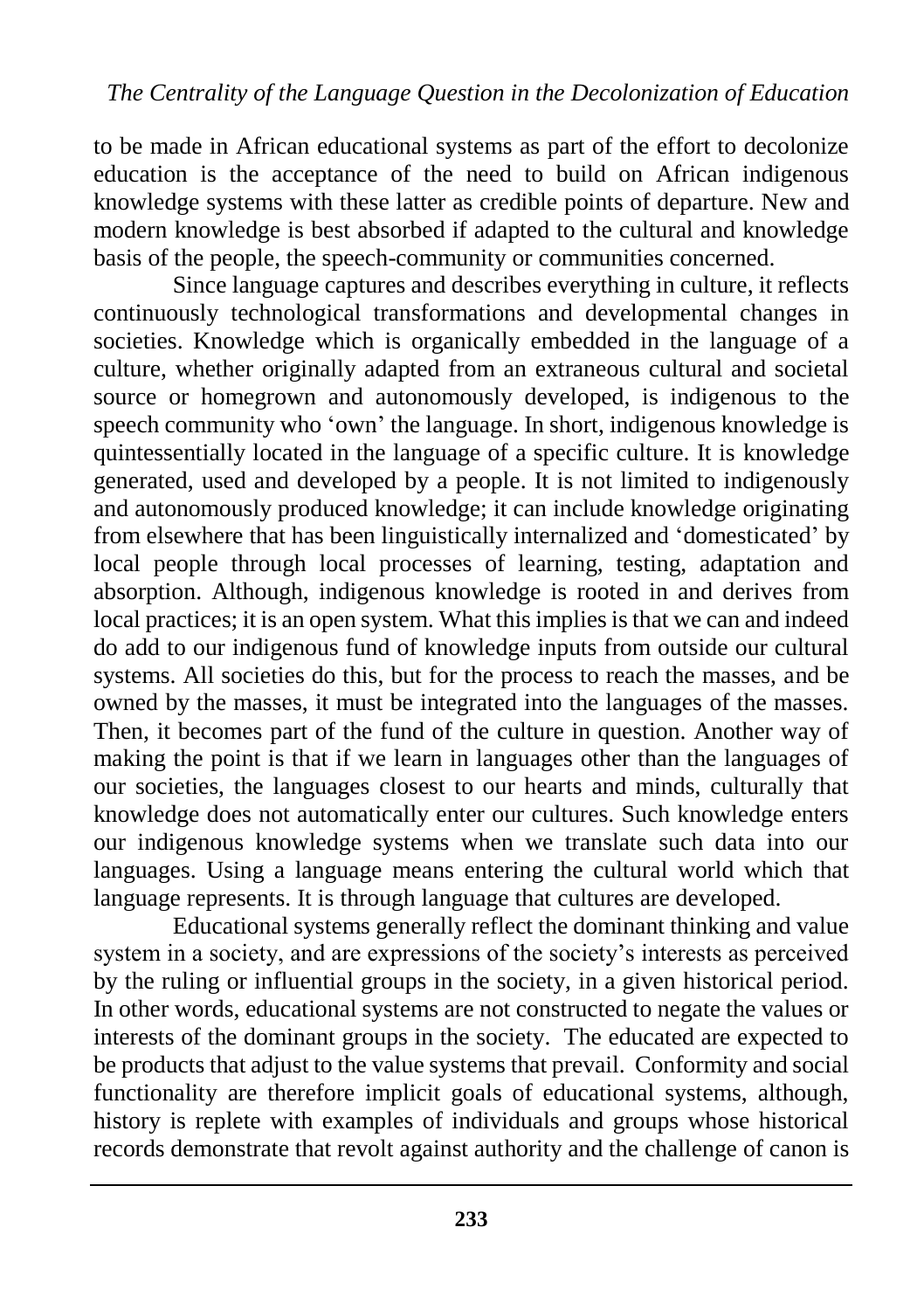to be made in African educational systems as part of the effort to decolonize education is the acceptance of the need to build on African indigenous knowledge systems with these latter as credible points of departure. New and modern knowledge is best absorbed if adapted to the cultural and knowledge basis of the people, the speech-community or communities concerned.

Since language captures and describes everything in culture, it reflects continuously technological transformations and developmental changes in societies. Knowledge which is organically embedded in the language of a culture, whether originally adapted from an extraneous cultural and societal source or homegrown and autonomously developed, is indigenous to the speech community who 'own' the language. In short, indigenous knowledge is quintessentially located in the language of a specific culture. It is knowledge generated, used and developed by a people. It is not limited to indigenously and autonomously produced knowledge; it can include knowledge originating from elsewhere that has been linguistically internalized and 'domesticated' by local people through local processes of learning, testing, adaptation and absorption. Although, indigenous knowledge is rooted in and derives from local practices; it is an open system. What this implies is that we can and indeed do add to our indigenous fund of knowledge inputs from outside our cultural systems. All societies do this, but for the process to reach the masses, and be owned by the masses, it must be integrated into the languages of the masses. Then, it becomes part of the fund of the culture in question. Another way of making the point is that if we learn in languages other than the languages of our societies, the languages closest to our hearts and minds, culturally that knowledge does not automatically enter our cultures. Such knowledge enters our indigenous knowledge systems when we translate such data into our languages. Using a language means entering the cultural world which that language represents. It is through language that cultures are developed.

Educational systems generally reflect the dominant thinking and value system in a society, and are expressions of the society's interests as perceived by the ruling or influential groups in the society, in a given historical period. In other words, educational systems are not constructed to negate the values or interests of the dominant groups in the society. The educated are expected to be products that adjust to the value systems that prevail. Conformity and social functionality are therefore implicit goals of educational systems, although, history is replete with examples of individuals and groups whose historical records demonstrate that revolt against authority and the challenge of canon is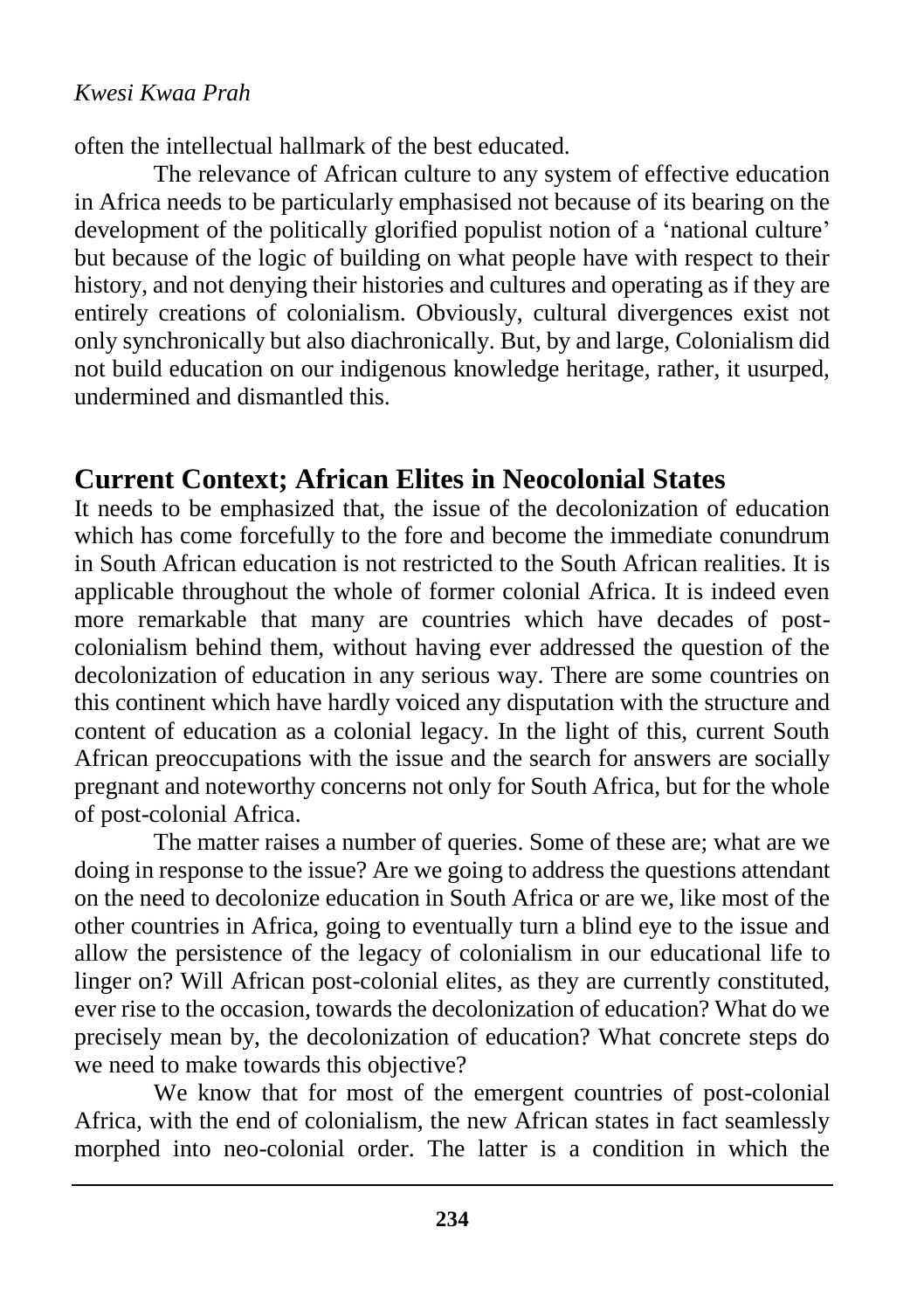often the intellectual hallmark of the best educated.

The relevance of African culture to any system of effective education in Africa needs to be particularly emphasised not because of its bearing on the development of the politically glorified populist notion of a 'national culture' but because of the logic of building on what people have with respect to their history, and not denying their histories and cultures and operating as if they are entirely creations of colonialism. Obviously, cultural divergences exist not only synchronically but also diachronically. But, by and large, Colonialism did not build education on our indigenous knowledge heritage, rather, it usurped, undermined and dismantled this.

# **Current Context; African Elites in Neocolonial States**

It needs to be emphasized that, the issue of the decolonization of education which has come forcefully to the fore and become the immediate conundrum in South African education is not restricted to the South African realities. It is applicable throughout the whole of former colonial Africa. It is indeed even more remarkable that many are countries which have decades of postcolonialism behind them, without having ever addressed the question of the decolonization of education in any serious way. There are some countries on this continent which have hardly voiced any disputation with the structure and content of education as a colonial legacy. In the light of this, current South African preoccupations with the issue and the search for answers are socially pregnant and noteworthy concerns not only for South Africa, but for the whole of post-colonial Africa.

The matter raises a number of queries. Some of these are; what are we doing in response to the issue? Are we going to address the questions attendant on the need to decolonize education in South Africa or are we, like most of the other countries in Africa, going to eventually turn a blind eye to the issue and allow the persistence of the legacy of colonialism in our educational life to linger on? Will African post-colonial elites, as they are currently constituted, ever rise to the occasion, towards the decolonization of education? What do we precisely mean by, the decolonization of education? What concrete steps do we need to make towards this objective?

We know that for most of the emergent countries of post-colonial Africa, with the end of colonialism, the new African states in fact seamlessly morphed into neo-colonial order. The latter is a condition in which the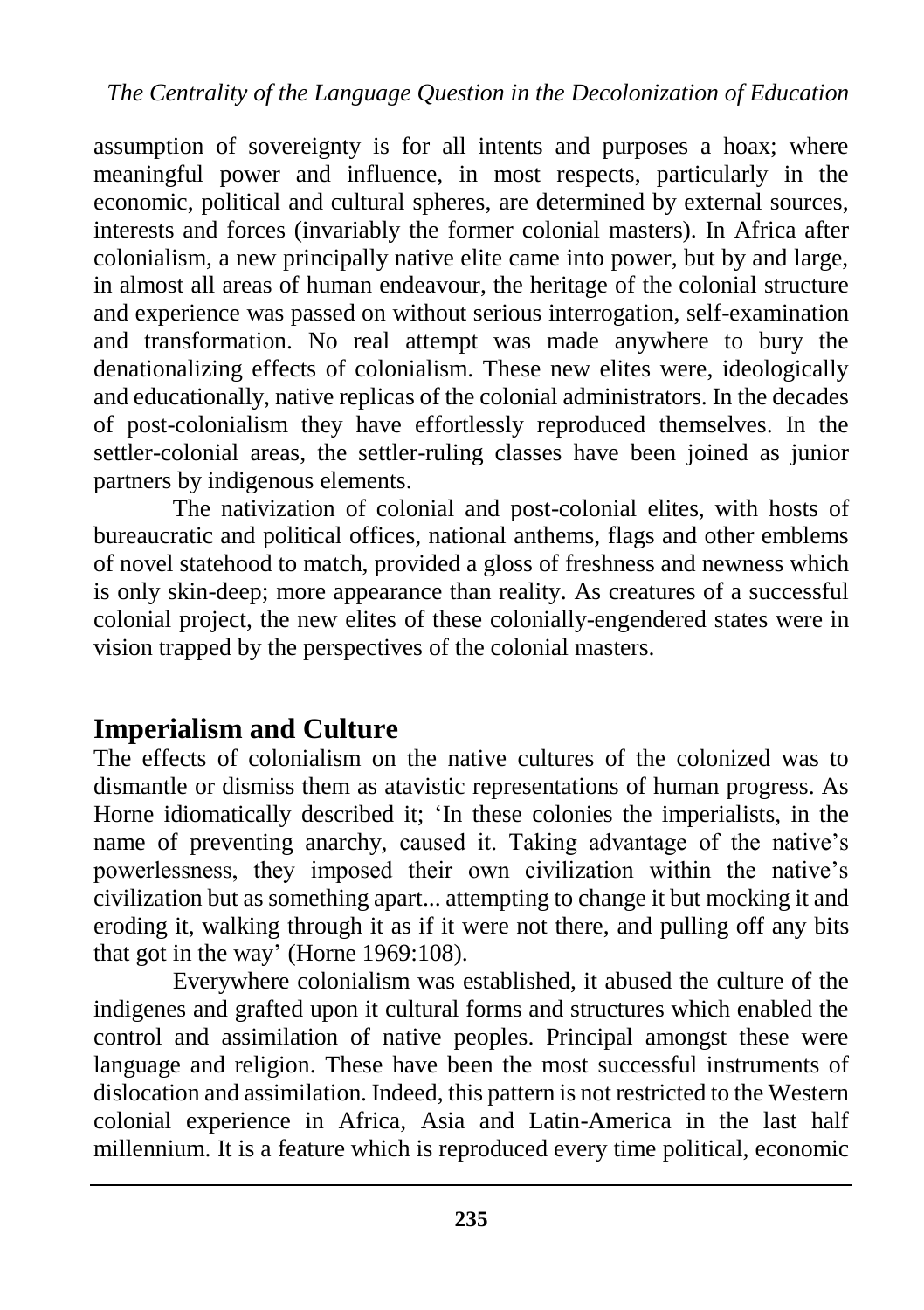assumption of sovereignty is for all intents and purposes a hoax; where meaningful power and influence, in most respects, particularly in the economic, political and cultural spheres, are determined by external sources, interests and forces (invariably the former colonial masters). In Africa after colonialism, a new principally native elite came into power, but by and large, in almost all areas of human endeavour, the heritage of the colonial structure and experience was passed on without serious interrogation, self-examination and transformation. No real attempt was made anywhere to bury the denationalizing effects of colonialism. These new elites were, ideologically and educationally, native replicas of the colonial administrators. In the decades of post-colonialism they have effortlessly reproduced themselves. In the settler-colonial areas, the settler-ruling classes have been joined as junior partners by indigenous elements.

The nativization of colonial and post-colonial elites, with hosts of bureaucratic and political offices, national anthems, flags and other emblems of novel statehood to match, provided a gloss of freshness and newness which is only skin-deep; more appearance than reality. As creatures of a successful colonial project, the new elites of these colonially-engendered states were in vision trapped by the perspectives of the colonial masters.

### **Imperialism and Culture**

The effects of colonialism on the native cultures of the colonized was to dismantle or dismiss them as atavistic representations of human progress. As Horne idiomatically described it; 'In these colonies the imperialists, in the name of preventing anarchy, caused it. Taking advantage of the native's powerlessness, they imposed their own civilization within the native's civilization but as something apart... attempting to change it but mocking it and eroding it, walking through it as if it were not there, and pulling off any bits that got in the way' (Horne 1969:108).

Everywhere colonialism was established, it abused the culture of the indigenes and grafted upon it cultural forms and structures which enabled the control and assimilation of native peoples. Principal amongst these were language and religion. These have been the most successful instruments of dislocation and assimilation. Indeed, this pattern is not restricted to the Western colonial experience in Africa, Asia and Latin-America in the last half millennium. It is a feature which is reproduced every time political, economic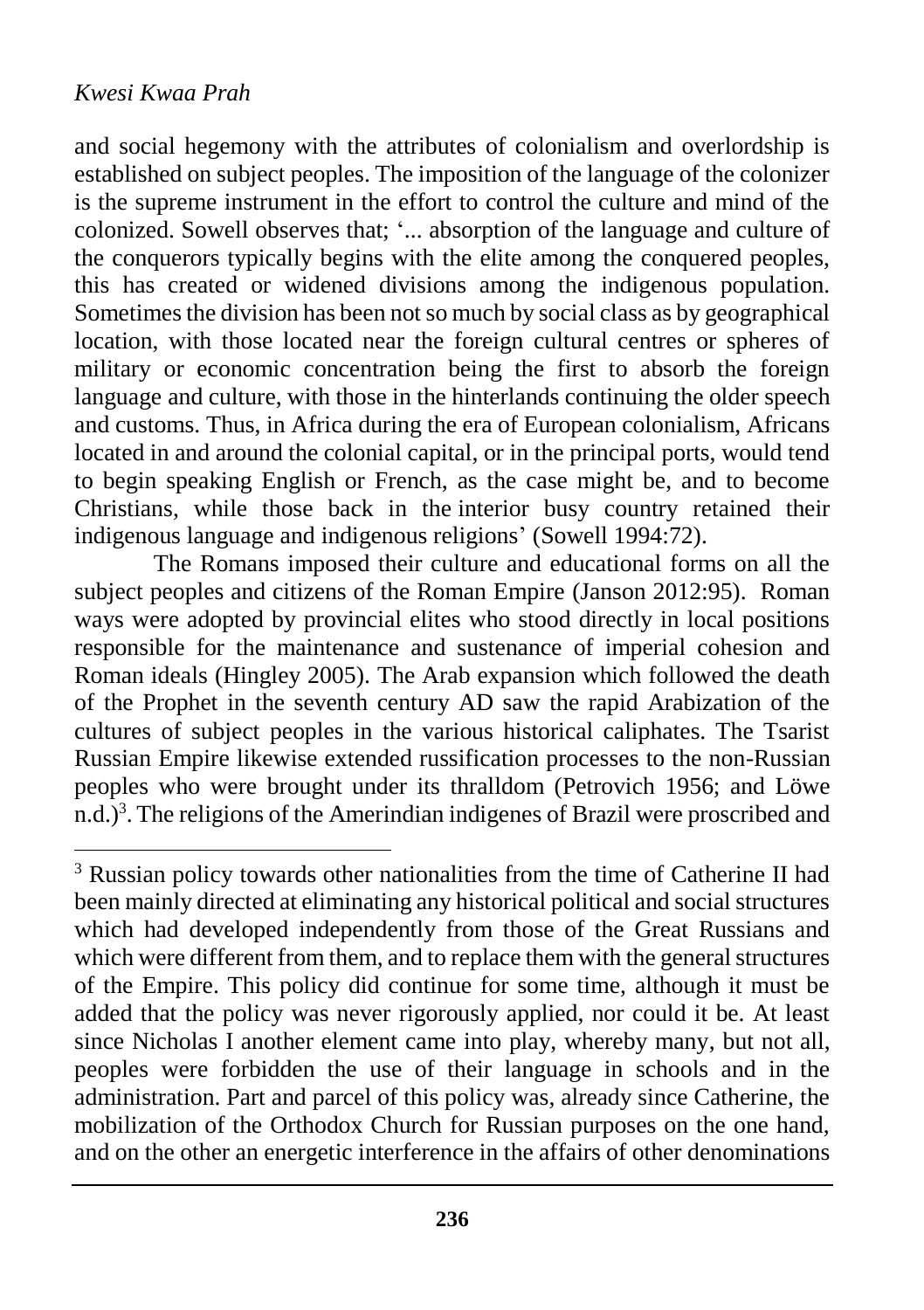$\overline{a}$ 

and social hegemony with the attributes of colonialism and overlordship is established on subject peoples. The imposition of the language of the colonizer is the supreme instrument in the effort to control the culture and mind of the colonized. Sowell observes that; '... absorption of the language and culture of the conquerors typically begins with the elite among the conquered peoples, this has created or widened divisions among the indigenous population. Sometimes the division has been not so much by social class as by geographical location, with those located near the foreign cultural centres or spheres of military or economic concentration being the first to absorb the foreign language and culture, with those in the hinterlands continuing the older speech and customs. Thus, in Africa during the era of European colonialism, Africans located in and around the colonial capital, or in the principal ports, would tend to begin speaking English or French, as the case might be, and to become Christians, while those back in the interior busy country retained their indigenous language and indigenous religions' (Sowell 1994:72).

The Romans imposed their culture and educational forms on all the subject peoples and citizens of the Roman Empire (Janson 2012:95). Roman ways were adopted by provincial elites who stood directly in local positions responsible for the maintenance and sustenance of imperial cohesion and Roman ideals (Hingley 2005). The Arab expansion which followed the death of the Prophet in the seventh century AD saw the rapid Arabization of the cultures of subject peoples in the various historical caliphates. The Tsarist Russian Empire likewise extended russification processes to the non-Russian peoples who were brought under its thralldom (Petrovich 1956; and Löwe n[.](http://www.uni-heidelberg.de/fakultaeten/philosophie/zegk/sog/loewe_artikel_russian.html#_edn5)d.)<sup>3</sup>. The religions of the Amerindian indigenes of Brazil were proscribed and

<sup>&</sup>lt;sup>3</sup> Russian policy towards other nationalities from the time of Catherine II had been mainly directed at eliminating any historical political and social structures which had developed independently from those of the Great Russians and which were different from them, and to replace them with the general structures of the Empire. This policy did continue for some time, although it must be added that the policy was never rigorously applied, nor could it be. At least since Nicholas I another element came into play, whereby many, but not all, peoples were forbidden the use of their language in schools and in the administration. Part and parcel of this policy was, already since Catherine, the mobilization of the Orthodox Church for Russian purposes on the one hand, and on the other an energetic interference in the affairs of other denominations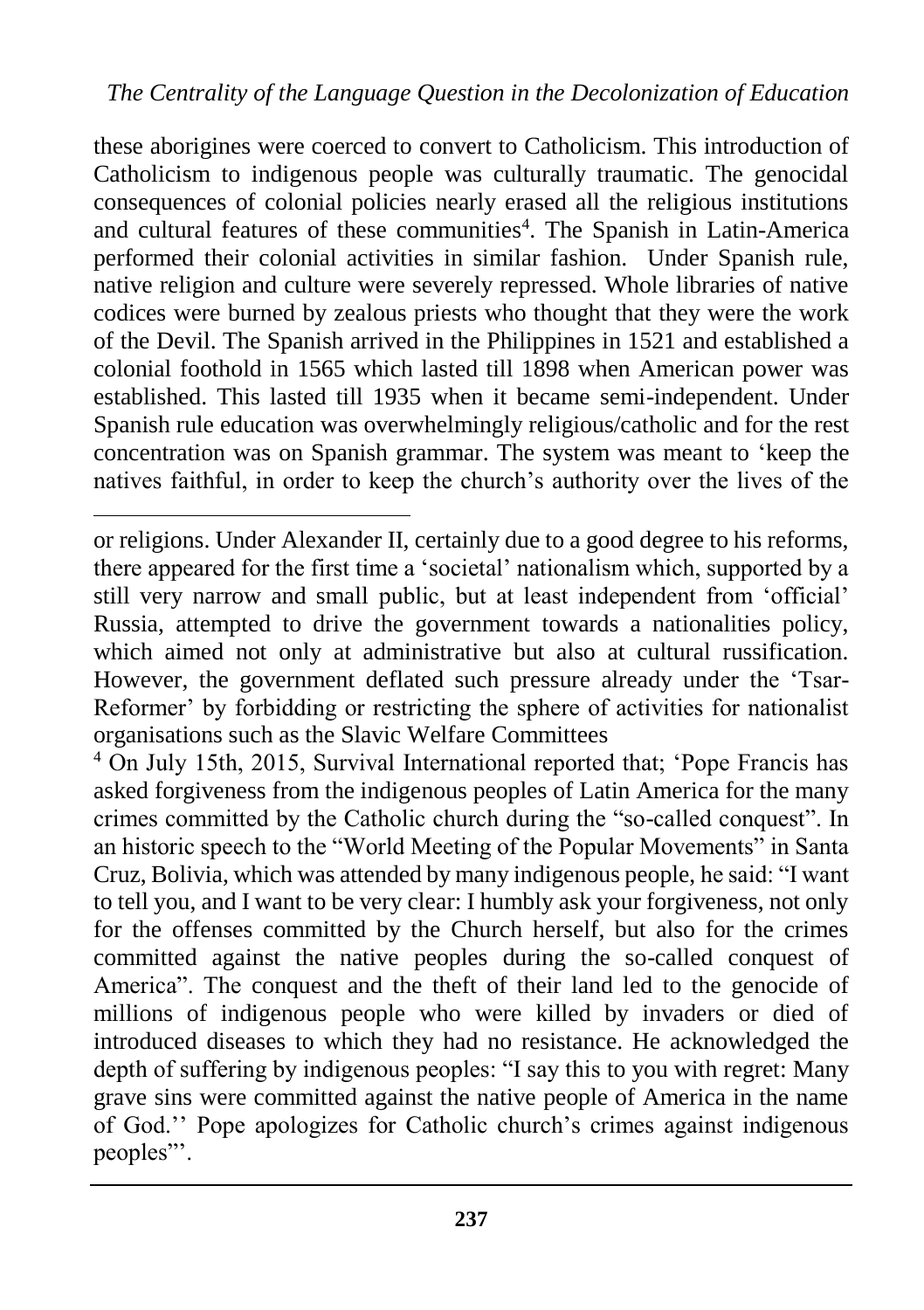these aborigines were coerced to convert to Catholicism. This introduction of Catholicism to indigenous people was culturally traumatic. The genocidal consequences of colonial policies nearly erased all the religious institutions and cultural features of these communities<sup>4</sup>. The Spanish in Latin-America performed their colonial activities in similar fashion. Under Spanish rule, native religion and culture were severely repressed. Whole libraries of native codices were burned by zealous priests who thought that they were the work of the Devil. The Spanish arrived in the Philippines in 1521 and established a colonial foothold in 1565 which lasted till 1898 when American power was established. This lasted till 1935 when it became semi-independent. Under Spanish rule education was overwhelmingly religious/catholic and for the rest concentration was on Spanish grammar. The system was meant to 'keep the natives faithful, in order to keep the church's authority over the lives of the

 $\overline{a}$ 

<sup>4</sup> On July 15th, 2015, Survival International reported that; 'Pope Francis has asked forgiveness from the indigenous peoples of Latin America for the many crimes committed by the Catholic church during the "so-called conquest". In an historic speech to the "World Meeting of the Popular Movements" in Santa Cruz, Bolivia, which was attended by many indigenous people, he said: "I want to tell you, and I want to be very clear: I humbly ask your forgiveness, not only for the offenses committed by the Church herself, but also for the crimes committed against the native peoples during the so-called conquest of America". The conquest and the theft of their land led to the genocide of millions of indigenous people who were killed by invaders or died of introduced diseases to which they had no resistance. He acknowledged the depth of suffering by indigenous peoples: "I say this to you with regret: Many grave sins were committed against the native people of America in the name of God.'' Pope apologizes for Catholic church's crimes against indigenous peoples"'.

or religions. Under Alexander II, certainly due to a good degree to his reforms, there appeared for the first time a 'societal' nationalism which, supported by a still very narrow and small public, but at least independent from 'official' Russia, attempted to drive the government towards a nationalities policy, which aimed not only at administrative but also at cultural russification. However, the government deflated such pressure already under the 'Tsar-Reformer' by forbidding or restricting the sphere of activities for nationalist organisations such as the Slavic Welfare Committees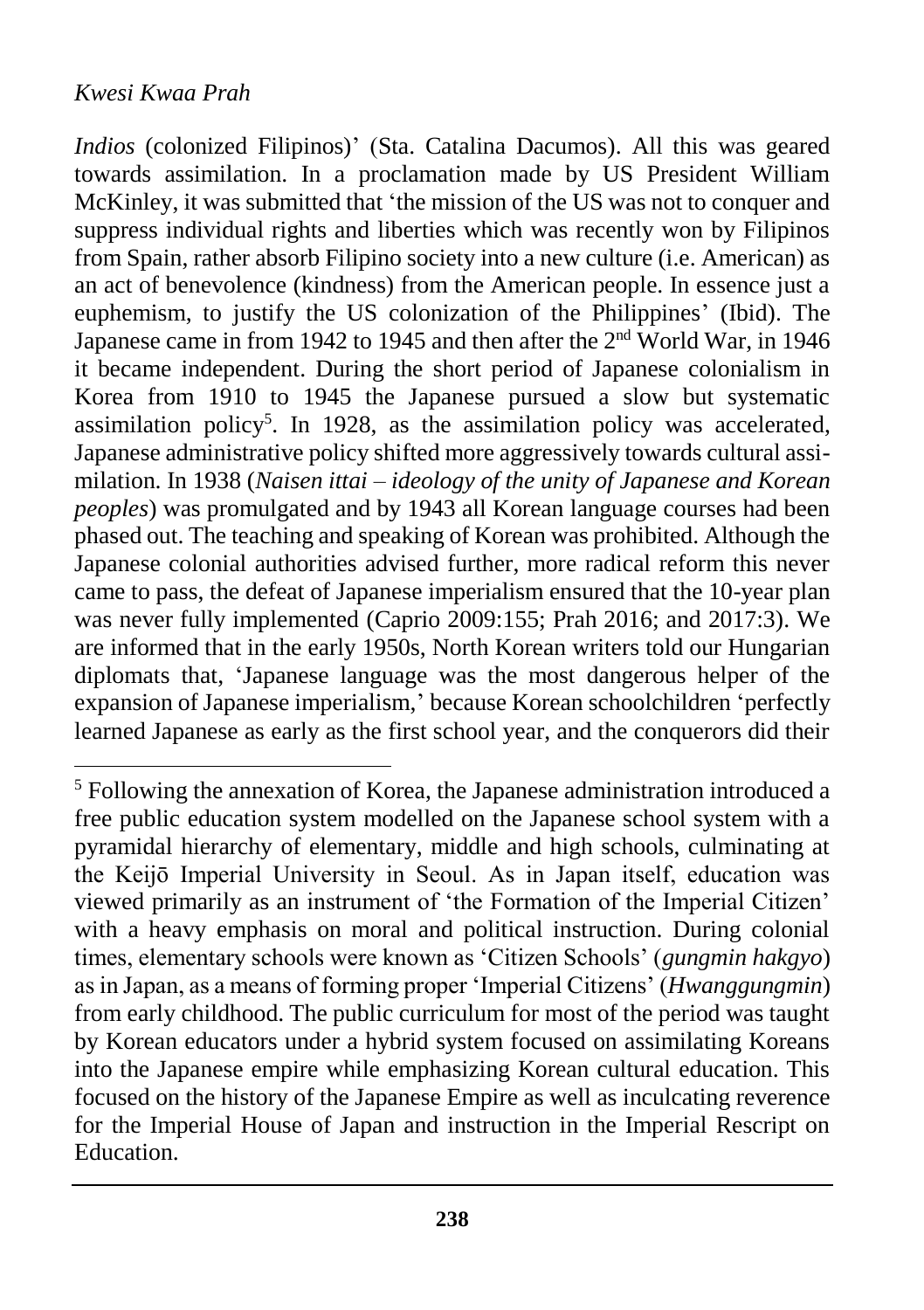$\overline{a}$ 

*Indios* (colonized Filipinos)' (Sta. Catalina Dacumos). All this was geared towards assimilation. In a proclamation made by US President William McKinley, it was submitted that 'the mission of the US was not to conquer and suppress individual rights and liberties which was recently won by Filipinos from Spain, rather absorb Filipino society into a new culture (i.e. American) as an act of benevolence (kindness) from the American people. In essence just a euphemism, to justify the US colonization of the Philippines' (Ibid). The Japanese came in from 1942 to 1945 and then after the 2<sup>nd</sup> World War, in 1946 it became independent. During the short period of Japanese colonialism in Korea from 1910 to 1945 the Japanese pursued a slow but systematic assimilation policy<sup>5</sup>. In 1928, as the assimilation policy was accelerated, Japanese administrative policy shifted more aggressively towards cultural assimilation. In 1938 (*Naisen ittai – ideology of the unity of Japanese and Korean peoples*) was promulgated and by 1943 all Korean language courses had been phased out. The teaching and speaking of Korean was prohibited. Although the Japanese colonial authorities advised further, more radical reform this never came to pass, the defeat of Japanese imperialism ensured that the 10-year plan was never fully implemented (Caprio 2009:155; Prah 2016; and 2017:3). We are informed that in the early 1950s, North Korean writers told our Hungarian diplomats that, 'Japanese language was the most dangerous helper of the expansion of Japanese imperialism,' because Korean schoolchildren 'perfectly learned Japanese as early as the first school year, and the conquerors did their

<sup>5</sup> Following the annexation of Korea, the Japanese administration introduced a free public education system modelled on the Japanese school system with a pyramidal hierarchy of elementary, middle and high schools, culminating at the Keijō Imperial University in Seoul. As in Japan itself, education was viewed primarily as an instrument of 'the Formation of the Imperial Citizen' with a heavy emphasis on moral and political instruction. During colonial times, elementary schools were known as 'Citizen Schools' (*gungmin hakgyo*) as in Japan, as a means of forming proper 'Imperial Citizens' (*Hwanggungmin*) from early childhood. The public curriculum for most of the period was taught by Korean educators under a hybrid system focused on assimilating Koreans into the Japanese empire while emphasizing Korean cultural education. This focused on the history of the Japanese Empire as well as inculcating reverence for the Imperial House of Japan and instruction in the Imperial Rescript on Education.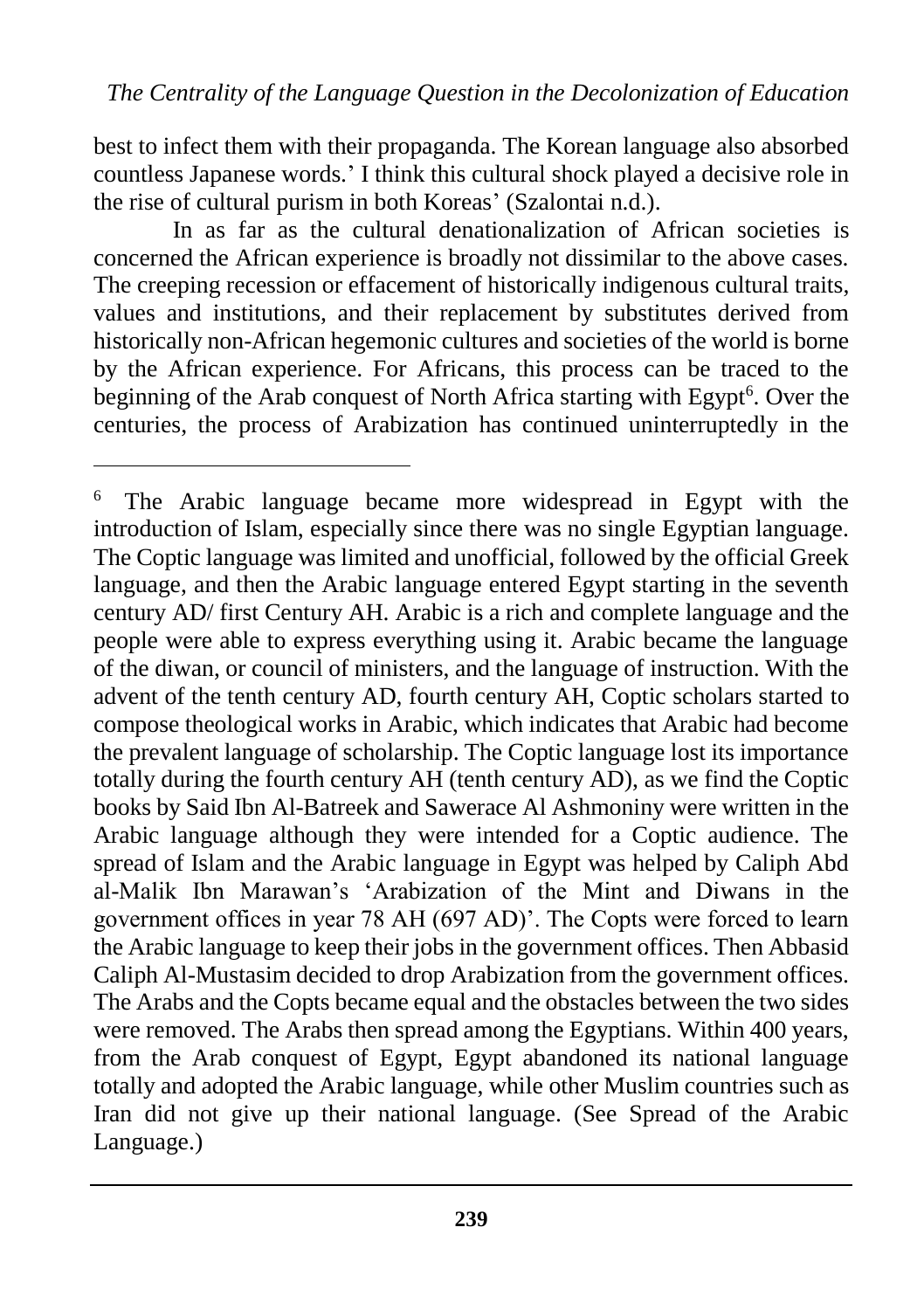best to infect them with their propaganda. The Korean language also absorbed countless Japanese words.' I think this cultural shock played a decisive role in the rise of cultural purism in both Koreas' (Szalontai n.d.).

In as far as the cultural denationalization of African societies is concerned the African experience is broadly not dissimilar to the above cases. The creeping recession or effacement of historically indigenous cultural traits, values and institutions, and their replacement by substitutes derived from historically non-African hegemonic cultures and societies of the world is borne by the African experience. For Africans, this process can be traced to the beginning of the Arab conquest of North Africa starting with Egypt<sup>6</sup>. Over the centuries, the process of Arabization has continued uninterruptedly in the

 $\overline{a}$ 

The Arabic language became more widespread in Egypt with the introduction of Islam, especially since there was no single Egyptian language. The Coptic language was limited and unofficial, followed by the official Greek language, and then the Arabic language entered Egypt starting in the seventh century AD/ first Century AH. Arabic is a rich and complete language and the people were able to express everything using it. Arabic became the language of the diwan, or council of ministers, and the language of instruction. With the advent of the tenth century AD, fourth century AH, Coptic scholars started to compose theological works in Arabic, which indicates that Arabic had become the prevalent language of scholarship. The Coptic language lost its importance totally during the fourth century AH (tenth century AD), as we find the Coptic books by Said Ibn Al-Batreek and Sawerace Al Ashmoniny were written in the Arabic language although they were intended for a Coptic audience. The spread of Islam and the Arabic language in Egypt was helped by Caliph Abd al-Malik Ibn Marawan's 'Arabization of the Mint and Diwans in the government offices in year 78 AH (697 AD)'. The Copts were forced to learn the Arabic language to keep their jobs in the government offices. Then Abbasid Caliph Al-Mustasim decided to drop Arabization from the government offices. The Arabs and the Copts became equal and the obstacles between the two sides were removed. The Arabs then spread among the Egyptians. Within 400 years, from the Arab conquest of Egypt, Egypt abandoned its national language totally and adopted the Arabic language, while other Muslim countries such as Iran did not give up their national language. (See Spread of the Arabic Language.)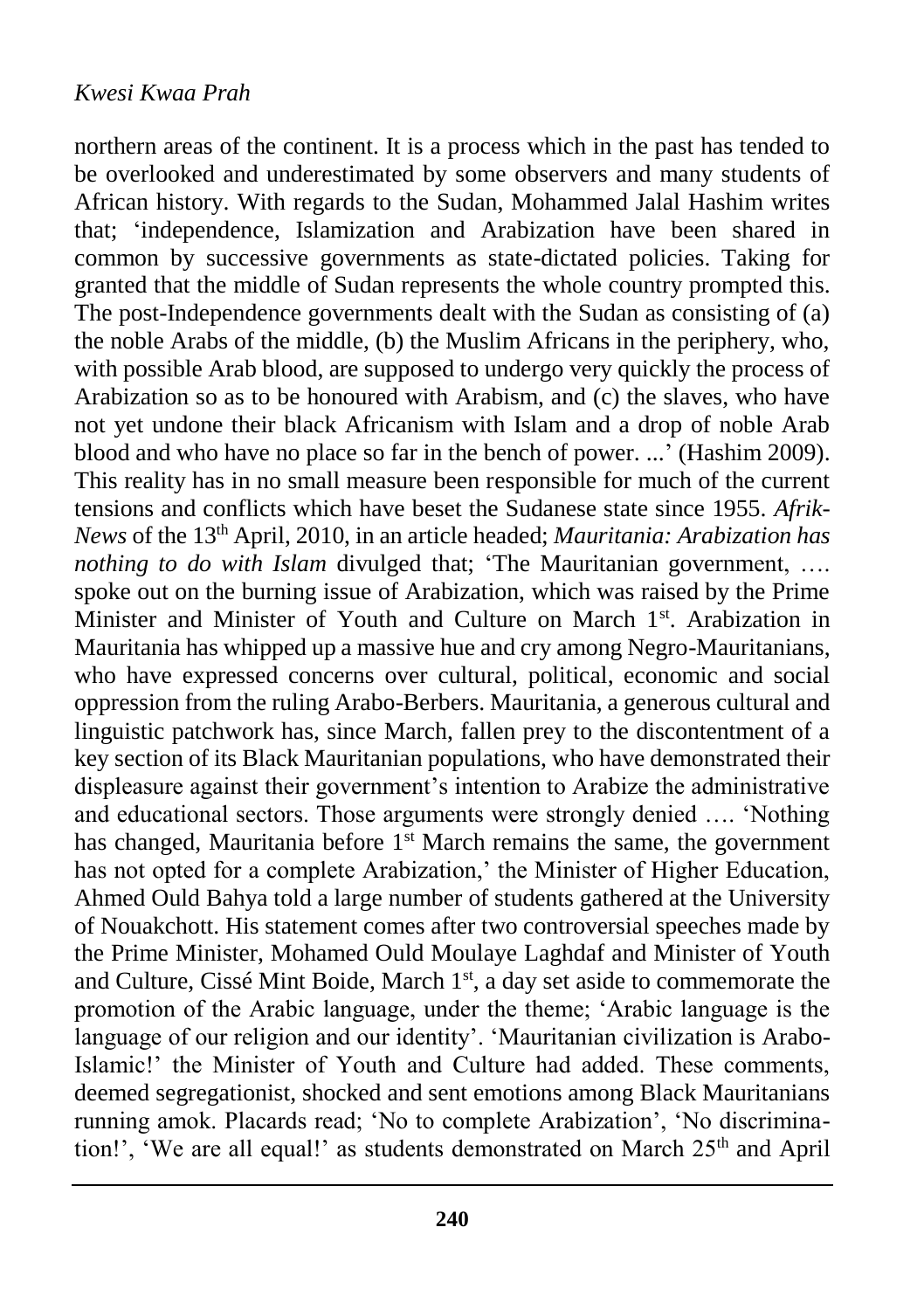northern areas of the continent. It is a process which in the past has tended to be overlooked and underestimated by some observers and many students of African history. With regards to the Sudan, Mohammed Jalal Hashim writes that; 'independence, Islamization and Arabization have been shared in common by successive governments as state-dictated policies. Taking for granted that the middle of Sudan represents the whole country prompted this. The post-Independence governments dealt with the Sudan as consisting of (a) the noble Arabs of the middle, (b) the Muslim Africans in the periphery, who, with possible Arab blood, are supposed to undergo very quickly the process of Arabization so as to be honoured with Arabism, and (c) the slaves, who have not yet undone their black Africanism with Islam and a drop of noble Arab blood and who have no place so far in the bench of power. ...' (Hashim 2009). This reality has in no small measure been responsible for much of the current tensions and conflicts which have beset the Sudanese state since 1955. *Afrik-News* of the 13th April, 2010, in an article headed; *Mauritania: Arabization has nothing to do with Islam* divulged that; 'The Mauritanian government, …. spoke out on the burning issue of Arabization, which was raised by the Prime Minister and Minister of Youth and Culture on March 1<sup>st</sup>. Arabization in Mauritania has whipped up a massive hue and cry among Negro-Mauritanians, who have expressed concerns over cultural, political, economic and social oppression from the ruling Arabo-Berbers. Mauritania, a generous cultural and linguistic patchwork has, since March, fallen prey to the discontentment of a key section of its Black Mauritanian populations, who have demonstrated their displeasure against their government's intention to Arabize the administrative and educational sectors. Those arguments were strongly denied …. 'Nothing has changed, Mauritania before  $1^{st}$  March remains the same, the government has not opted for a complete Arabization,' the Minister of Higher Education, Ahmed Ould Bahya told a large number of students gathered at the University of Nouakchott. His statement comes after two controversial speeches made by the Prime Minister, Mohamed Ould Moulaye Laghdaf and Minister of Youth and Culture, Cissé Mint Boide, March 1<sup>st</sup>, a day set aside to commemorate the promotion of the Arabic language, under the theme; 'Arabic language is the language of our religion and our identity'. 'Mauritanian civilization is Arabo-Islamic!' the Minister of Youth and Culture had added. These comments, deemed segregationist, shocked and sent emotions among Black Mauritanians running amok. Placards read; 'No to complete Arabization', 'No discrimination!', 'We are all equal!' as students demonstrated on March  $25<sup>th</sup>$  and April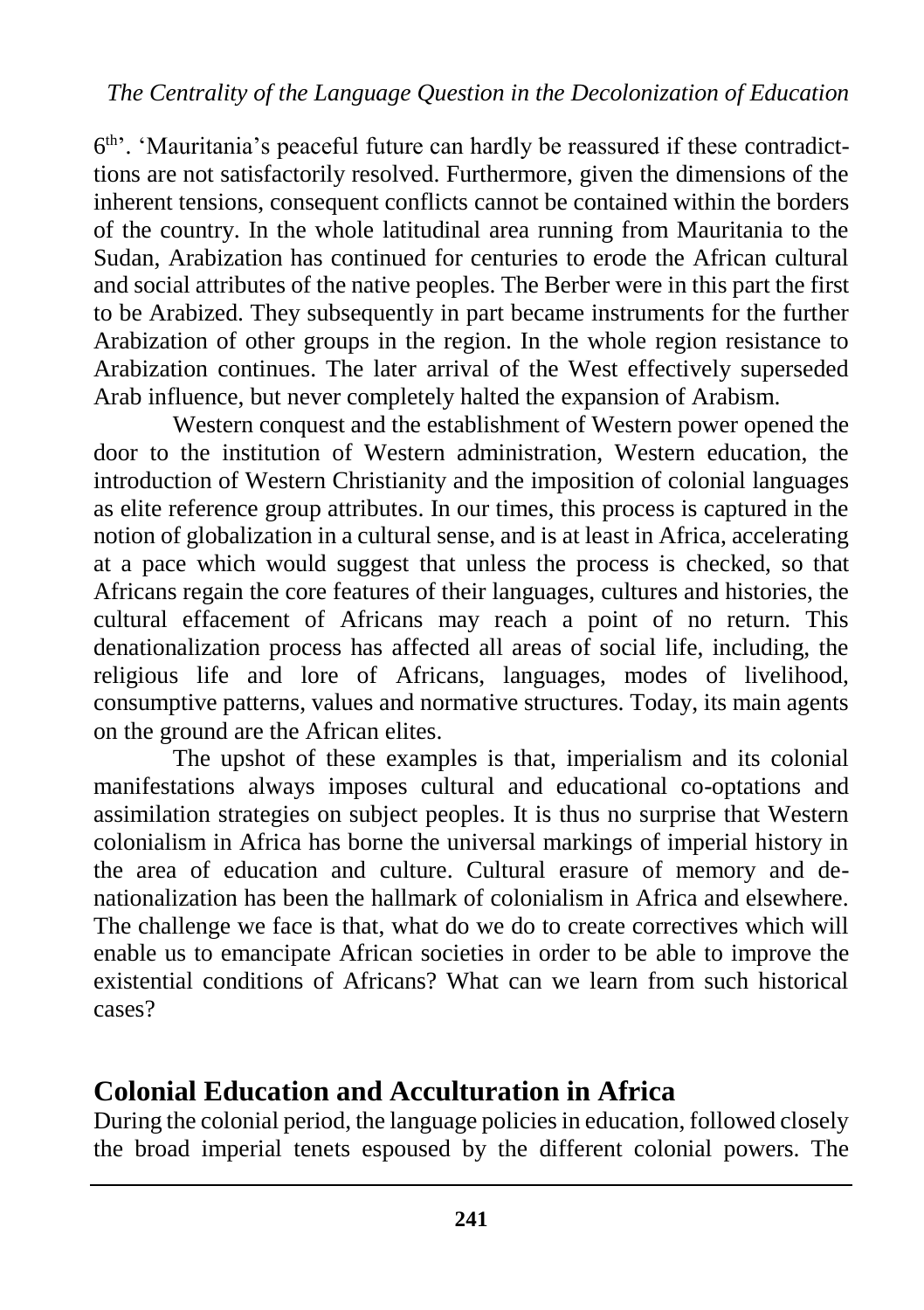6<sup>th</sup>'. 'Mauritania's peaceful future can hardly be reassured if these contradicttions are not satisfactorily resolved. Furthermore, given the dimensions of the inherent tensions, consequent conflicts cannot be contained within the borders of the country. In the whole latitudinal area running from Mauritania to the Sudan, Arabization has continued for centuries to erode the African cultural and social attributes of the native peoples. The Berber were in this part the first to be Arabized. They subsequently in part became instruments for the further Arabization of other groups in the region. In the whole region resistance to Arabization continues. The later arrival of the West effectively superseded Arab influence, but never completely halted the expansion of Arabism.

Western conquest and the establishment of Western power opened the door to the institution of Western administration, Western education, the introduction of Western Christianity and the imposition of colonial languages as elite reference group attributes. In our times, this process is captured in the notion of globalization in a cultural sense, and is at least in Africa, accelerating at a pace which would suggest that unless the process is checked, so that Africans regain the core features of their languages, cultures and histories, the cultural effacement of Africans may reach a point of no return. This denationalization process has affected all areas of social life, including, the religious life and lore of Africans, languages, modes of livelihood, consumptive patterns, values and normative structures. Today, its main agents on the ground are the African elites.

The upshot of these examples is that, imperialism and its colonial manifestations always imposes cultural and educational co-optations and assimilation strategies on subject peoples. It is thus no surprise that Western colonialism in Africa has borne the universal markings of imperial history in the area of education and culture. Cultural erasure of memory and denationalization has been the hallmark of colonialism in Africa and elsewhere. The challenge we face is that, what do we do to create correctives which will enable us to emancipate African societies in order to be able to improve the existential conditions of Africans? What can we learn from such historical cases?

### **Colonial Education and Acculturation in Africa**

During the colonial period, the language policies in education, followed closely the broad imperial tenets espoused by the different colonial powers. The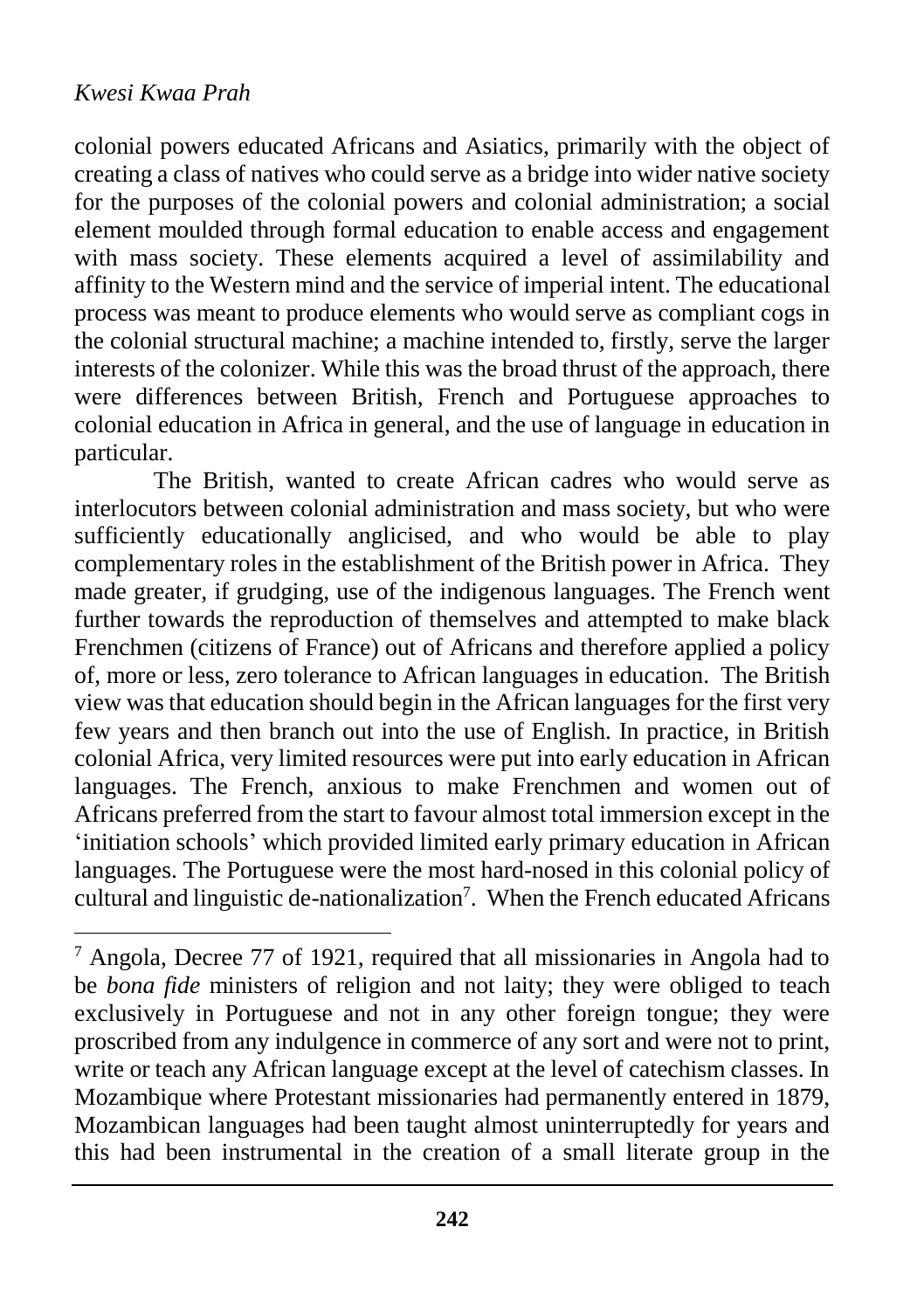$\overline{a}$ 

colonial powers educated Africans and Asiatics, primarily with the object of creating a class of natives who could serve as a bridge into wider native society for the purposes of the colonial powers and colonial administration; a social element moulded through formal education to enable access and engagement with mass society. These elements acquired a level of assimilability and affinity to the Western mind and the service of imperial intent. The educational process was meant to produce elements who would serve as compliant cogs in the colonial structural machine; a machine intended to, firstly, serve the larger interests of the colonizer. While this was the broad thrust of the approach, there were differences between British, French and Portuguese approaches to colonial education in Africa in general, and the use of language in education in particular.

The British, wanted to create African cadres who would serve as interlocutors between colonial administration and mass society, but who were sufficiently educationally anglicised, and who would be able to play complementary roles in the establishment of the British power in Africa. They made greater, if grudging, use of the indigenous languages. The French went further towards the reproduction of themselves and attempted to make black Frenchmen (citizens of France) out of Africans and therefore applied a policy of, more or less, zero tolerance to African languages in education. The British view was that education should begin in the African languages for the first very few years and then branch out into the use of English. In practice, in British colonial Africa, very limited resources were put into early education in African languages. The French, anxious to make Frenchmen and women out of Africans preferred from the start to favour almost total immersion except in the 'initiation schools' which provided limited early primary education in African languages. The Portuguese were the most hard-nosed in this colonial policy of cultural and linguistic de-nationalization<sup>7</sup>. When the French educated Africans

 $<sup>7</sup>$  Angola, Decree 77 of 1921, required that all missionaries in Angola had to</sup> be *bona fide* ministers of religion and not laity; they were obliged to teach exclusively in Portuguese and not in any other foreign tongue; they were proscribed from any indulgence in commerce of any sort and were not to print, write or teach any African language except at the level of catechism classes. In Mozambique where Protestant missionaries had permanently entered in 1879, Mozambican languages had been taught almost uninterruptedly for years and this had been instrumental in the creation of a small literate group in the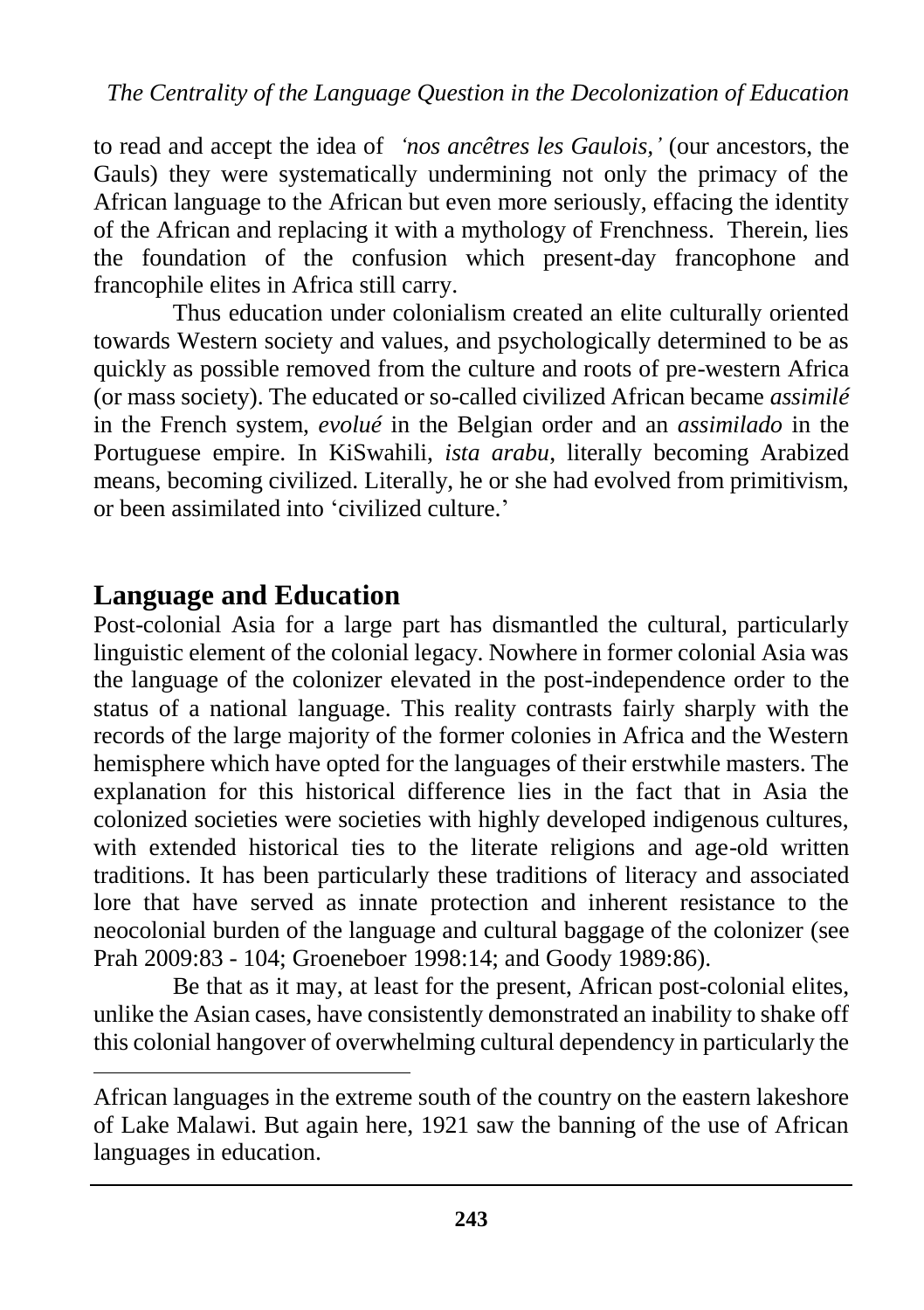to read and accept the idea of *'nos ancêtres les Gaulois,'* (our ancestors, the Gauls) they were systematically undermining not only the primacy of the African language to the African but even more seriously, effacing the identity of the African and replacing it with a mythology of Frenchness. Therein, lies the foundation of the confusion which present-day francophone and francophile elites in Africa still carry.

Thus education under colonialism created an elite culturally oriented towards Western society and values, and psychologically determined to be as quickly as possible removed from the culture and roots of pre-western Africa (or mass society). The educated or so-called civilized African became *assimilé* in the French system, *evolué* in the Belgian order and an *assimilado* in the Portuguese empire. In KiSwahili, *ista arabu*, literally becoming Arabized means, becoming civilized. Literally, he or she had evolved from primitivism, or been assimilated into 'civilized culture.'

### **Language and Education**

 $\overline{a}$ 

Post-colonial Asia for a large part has dismantled the cultural, particularly linguistic element of the colonial legacy. Nowhere in former colonial Asia was the language of the colonizer elevated in the post-independence order to the status of a national language. This reality contrasts fairly sharply with the records of the large majority of the former colonies in Africa and the Western hemisphere which have opted for the languages of their erstwhile masters. The explanation for this historical difference lies in the fact that in Asia the colonized societies were societies with highly developed indigenous cultures, with extended historical ties to the literate religions and age-old written traditions. It has been particularly these traditions of literacy and associated lore that have served as innate protection and inherent resistance to the neocolonial burden of the language and cultural baggage of the colonizer (see Prah 2009:83 - 104; Groeneboer 1998:14; and Goody 1989:86).

Be that as it may, at least for the present, African post-colonial elites, unlike the Asian cases, have consistently demonstrated an inability to shake off this colonial hangover of overwhelming cultural dependency in particularly the

African languages in the extreme south of the country on the eastern lakeshore of Lake Malawi. But again here, 1921 saw the banning of the use of African languages in education.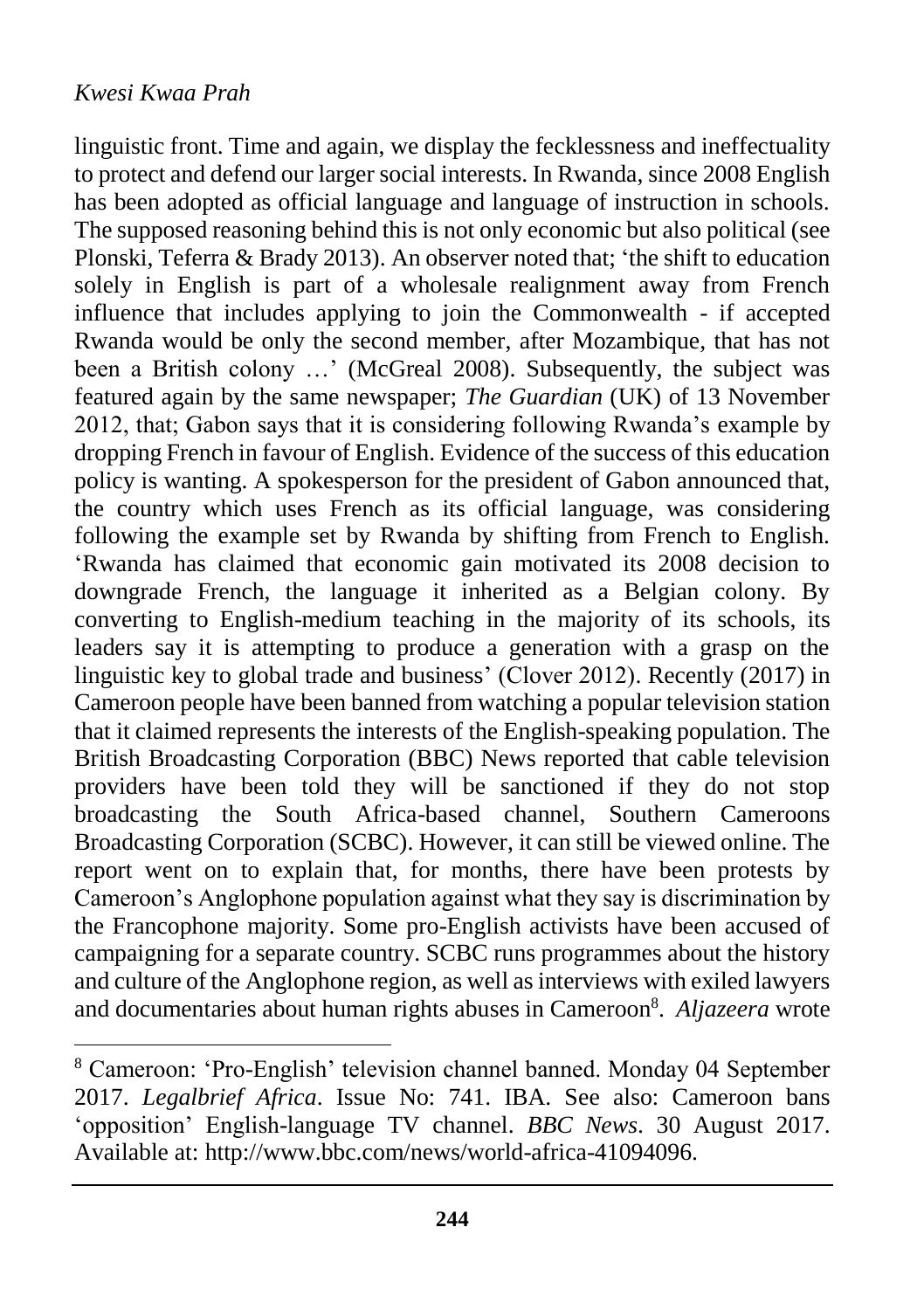$\overline{a}$ 

linguistic front. Time and again, we display the fecklessness and ineffectuality to protect and defend our larger social interests. In Rwanda, since 2008 English has been adopted as official language and language of instruction in schools. The supposed reasoning behind this is not only economic but also political (see Plonski, Teferra & Brady 2013). An observer noted that; 'the shift to education solely in English is part of a wholesale realignment away from French influence that includes applying to join the Commonwealth - if accepted Rwanda would be only the second member, after Mozambique, that has not been a British colony ...' (McGreal 2008). Subsequently, the subject was featured again by the same newspaper; *The Guardian* (UK) of 13 November 2012, that; Gabon says that it is considering following Rwanda's example by dropping French in favour of English. Evidence of the success of this education policy is wanting. A spokesperson for the president of Gabon announced that, the country which uses French as its official language, was considering following the example set by Rwanda by shifting from French to English. 'Rwanda has claimed that economic gain motivated its 2008 decision to downgrade French, the language it inherited as a Belgian colony. By converting to English-medium teaching in the majority of its schools, its leaders say it is attempting to produce a generation with a grasp on the linguistic key to global trade and business' (Clover 2012). Recently (2017) in Cameroon people have been banned from watching a popular television station that it claimed represents the interests of the English-speaking population. The British Broadcasting Corporation (BBC) News reported that cable television providers have been told they will be sanctioned if they do not stop broadcasting the South Africa-based channel, Southern Cameroons Broadcasting Corporation (SCBC). However, it can still be viewed online. The report went on to explain that, for months, there have been protests by Cameroon's Anglophone population against what they say is discrimination by the Francophone majority. Some pro-English activists have been accused of campaigning for a separate country. SCBC runs programmes about the history and culture of the Anglophone region, as well as interviews with exiled lawyers and documentaries about human rights abuses in Cameroon<sup>8</sup> . *Aljazeera* wrote

<sup>8</sup> Cameroon: 'Pro-English' television channel banned. Monday 04 September 2017. *Legalbrief Africa*. Issue No: 741. IBA. See also: Cameroon bans 'opposition' English-language TV channel. *BBC News*. 30 August 2017. Available at: [http://www.bbc.com/news/world-africa-41094096.](http://www.bbc.com/news/world-africa-41094096)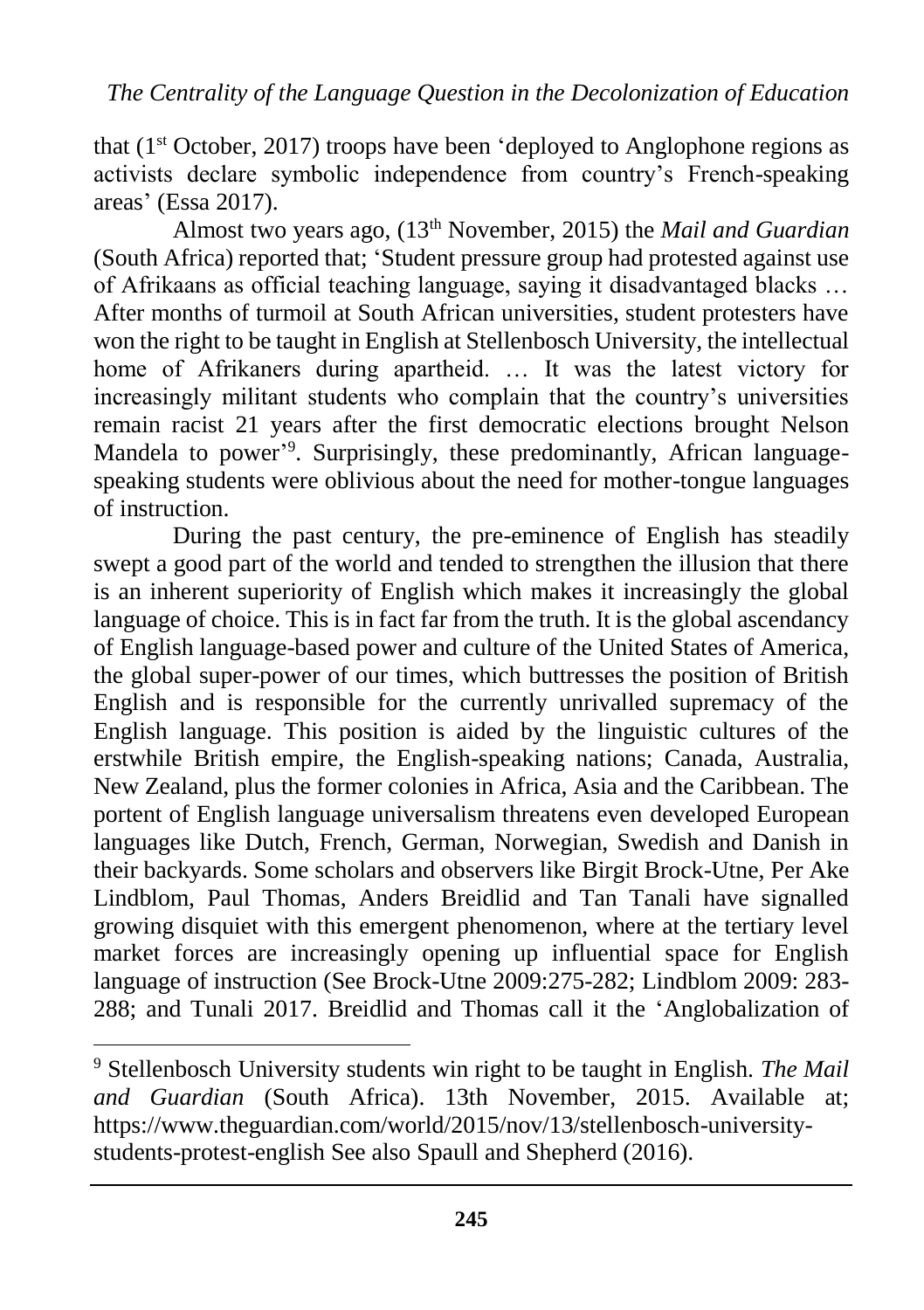that  $(1<sup>st</sup> October, 2017)$  troops have been 'deployed to Anglophone regions as activists declare symbolic independence from country's French-speaking areas' (Essa 2017).

Almost two years ago, (13th November, 2015) the *Mail and Guardian* (South Africa) reported that; 'Student pressure group had protested against use of Afrikaans as official teaching language, saying it disadvantaged blacks … After months of turmoil at South African universities, student protesters have won the right to be taught in English at Stellenbosch University, the intellectual home of Afrikaners during apartheid. … It was the latest victory for increasingly militant students who complain that the country's universities remain racist 21 years after the first democratic elections brought Nelson Mandela to power' 9 . Surprisingly, these predominantly, African languagespeaking students were oblivious about the need for mother-tongue languages of instruction.

During the past century, the pre-eminence of English has steadily swept a good part of the world and tended to strengthen the illusion that there is an inherent superiority of English which makes it increasingly the global language of choice. This is in fact far from the truth. It is the global ascendancy of English language-based power and culture of the United States of America, the global super-power of our times, which buttresses the position of British English and is responsible for the currently unrivalled supremacy of the English language. This position is aided by the linguistic cultures of the erstwhile British empire, the English-speaking nations; Canada, Australia, New Zealand, plus the former colonies in Africa, Asia and the Caribbean. The portent of English language universalism threatens even developed European languages like Dutch, French, German, Norwegian, Swedish and Danish in their backyards. Some scholars and observers like Birgit Brock-Utne, Per Ake Lindblom, Paul Thomas, Anders Breidlid and Tan Tanali have signalled growing disquiet with this emergent phenomenon, where at the tertiary level market forces are increasingly opening up influential space for English language of instruction (See Brock-Utne 2009:275-282; Lindblom 2009: 283- 288; and Tunali 2017. Breidlid and Thomas call it the 'Anglobalization of

 $\overline{a}$ 

<sup>9</sup> Stellenbosch University students win right to be taught in English. *The Mail and Guardian* (South Africa). 13th November, 2015. Available at; [https://www.theguardian.com/world/2015/nov/13/stellenbosch-university](https://www.theguardian.com/world/2015/nov/13/stellenbosch-university-students-protest-english)[students-protest-english](https://www.theguardian.com/world/2015/nov/13/stellenbosch-university-students-protest-english) See also Spaull and Shepherd (2016).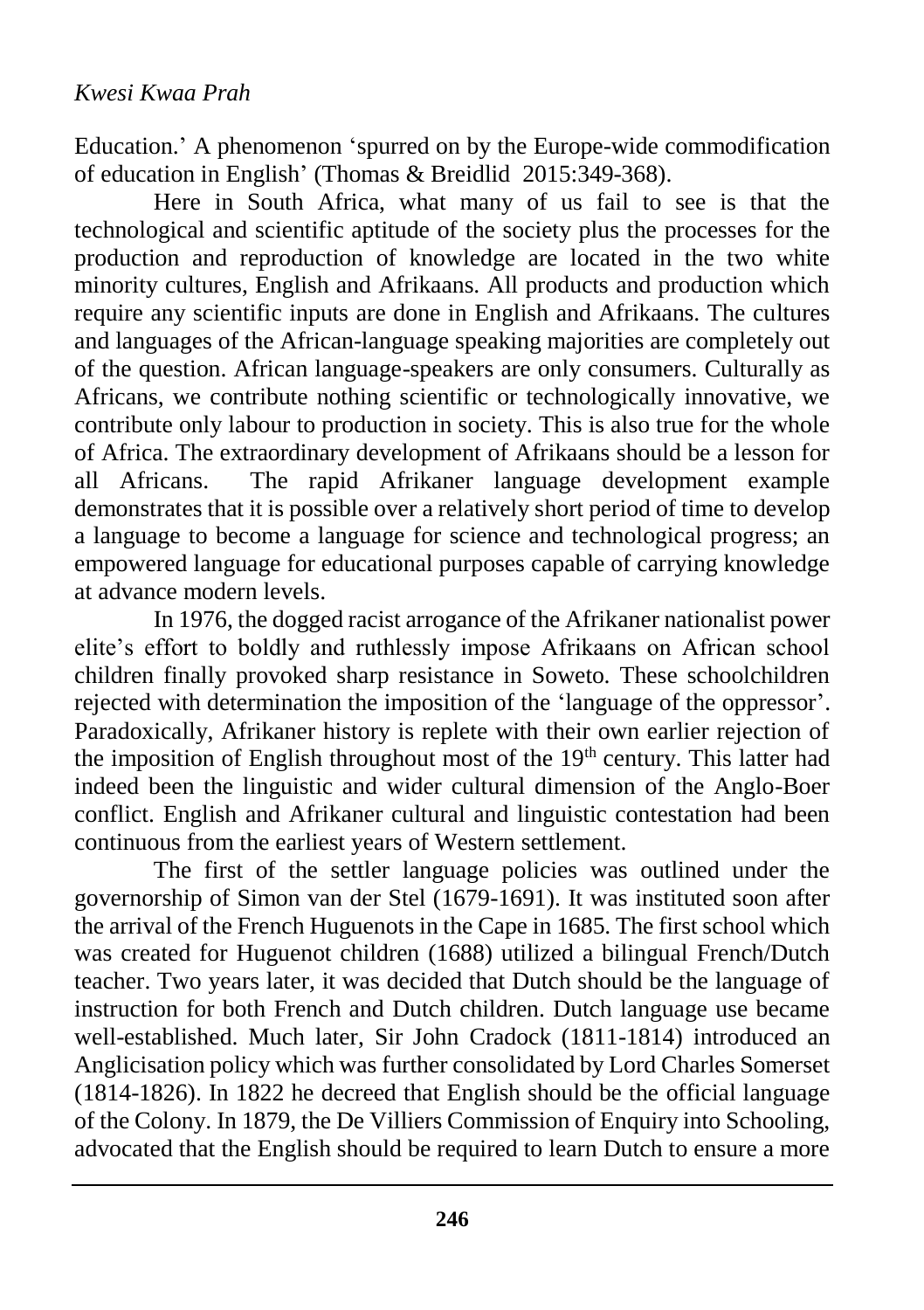Education.' A phenomenon 'spurred on by the Europe-wide commodification of education in English' (Thomas & Breidlid 2015:349-368).

Here in South Africa, what many of us fail to see is that the technological and scientific aptitude of the society plus the processes for the production and reproduction of knowledge are located in the two white minority cultures, English and Afrikaans. All products and production which require any scientific inputs are done in English and Afrikaans. The cultures and languages of the African-language speaking majorities are completely out of the question. African language-speakers are only consumers. Culturally as Africans, we contribute nothing scientific or technologically innovative, we contribute only labour to production in society. This is also true for the whole of Africa. The extraordinary development of Afrikaans should be a lesson for all Africans. The rapid Afrikaner language development example demonstrates that it is possible over a relatively short period of time to develop a language to become a language for science and technological progress; an empowered language for educational purposes capable of carrying knowledge at advance modern levels.

In 1976, the dogged racist arrogance of the Afrikaner nationalist power elite's effort to boldly and ruthlessly impose Afrikaans on African school children finally provoked sharp resistance in Soweto. These schoolchildren rejected with determination the imposition of the 'language of the oppressor'. Paradoxically, Afrikaner history is replete with their own earlier rejection of the imposition of English throughout most of the 19<sup>th</sup> century. This latter had indeed been the linguistic and wider cultural dimension of the Anglo-Boer conflict. English and Afrikaner cultural and linguistic contestation had been continuous from the earliest years of Western settlement.

The first of the settler language policies was outlined under the governorship of Simon van der Stel (1679-1691). It was instituted soon after the arrival of the French Huguenots in the Cape in 1685. The first school which was created for Huguenot children (1688) utilized a bilingual French/Dutch teacher. Two years later, it was decided that Dutch should be the language of instruction for both French and Dutch children. Dutch language use became well-established. Much later, Sir John Cradock (1811-1814) introduced an Anglicisation policy which was further consolidated by Lord Charles Somerset (1814-1826). In 1822 he decreed that English should be the official language of the Colony. In 1879, the De Villiers Commission of Enquiry into Schooling, advocated that the English should be required to learn Dutch to ensure a more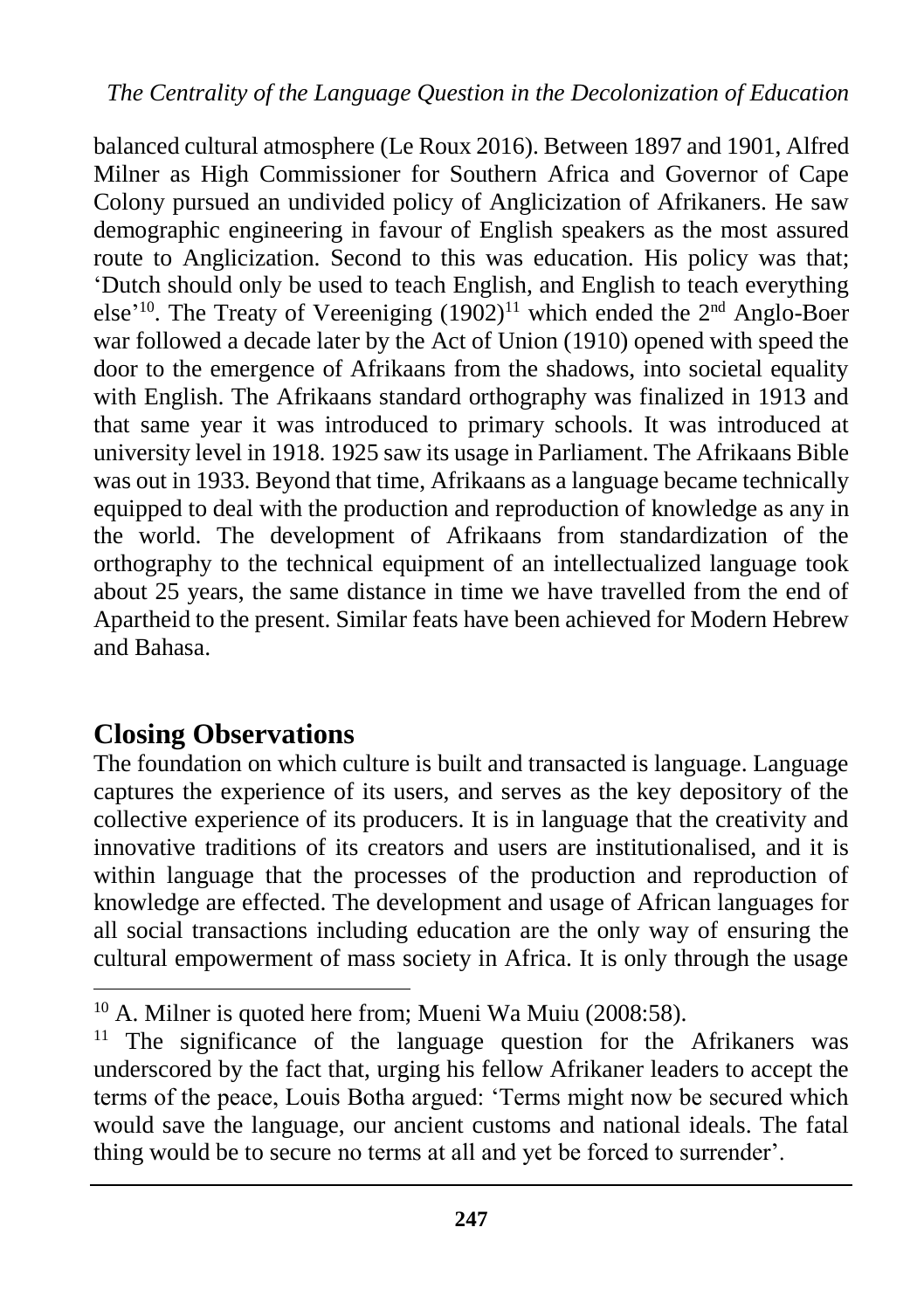balanced cultural atmosphere (Le Roux 2016). Between 1897 and 1901, Alfred Milner as High Commissioner for Southern Africa and Governor of Cape Colony pursued an undivided policy of Anglicization of Afrikaners. He saw demographic engineering in favour of English speakers as the most assured route to Anglicization. Second to this was education. His policy was that; 'Dutch should only be used to teach English, and English to teach everything else'<sup>10</sup>. The Treaty of Vereeniging  $(1902)^{11}$  which ended the  $2<sup>nd</sup>$  Anglo-Boer war followed a decade later by the Act of Union (1910) opened with speed the door to the emergence of Afrikaans from the shadows, into societal equality with English. The Afrikaans standard orthography was finalized in 1913 and that same year it was introduced to primary schools. It was introduced at university level in 1918. 1925 saw its usage in Parliament. The Afrikaans Bible was out in 1933. Beyond that time, Afrikaans as a language became technically equipped to deal with the production and reproduction of knowledge as any in the world. The development of Afrikaans from standardization of the orthography to the technical equipment of an intellectualized language took about 25 years, the same distance in time we have travelled from the end of Apartheid to the present. Similar feats have been achieved for Modern Hebrew and Bahasa.

# **Closing Observations**

 $\overline{a}$ 

The foundation on which culture is built and transacted is language. Language captures the experience of its users, and serves as the key depository of the collective experience of its producers. It is in language that the creativity and innovative traditions of its creators and users are institutionalised, and it is within language that the processes of the production and reproduction of knowledge are effected. The development and usage of African languages for all social transactions including education are the only way of ensuring the cultural empowerment of mass society in Africa. It is only through the usage

<sup>10</sup> A. Milner is quoted here from; Mueni Wa Muiu (2008:58).

<sup>&</sup>lt;sup>11</sup> The significance of the language question for the Afrikaners was underscored by the fact that, urging his fellow Afrikaner leaders to accept the terms of the peace, Louis Botha argued: 'Terms might now be secured which would save the language, our ancient customs and national ideals. The fatal thing would be to secure no terms at all and yet be forced to surrender'.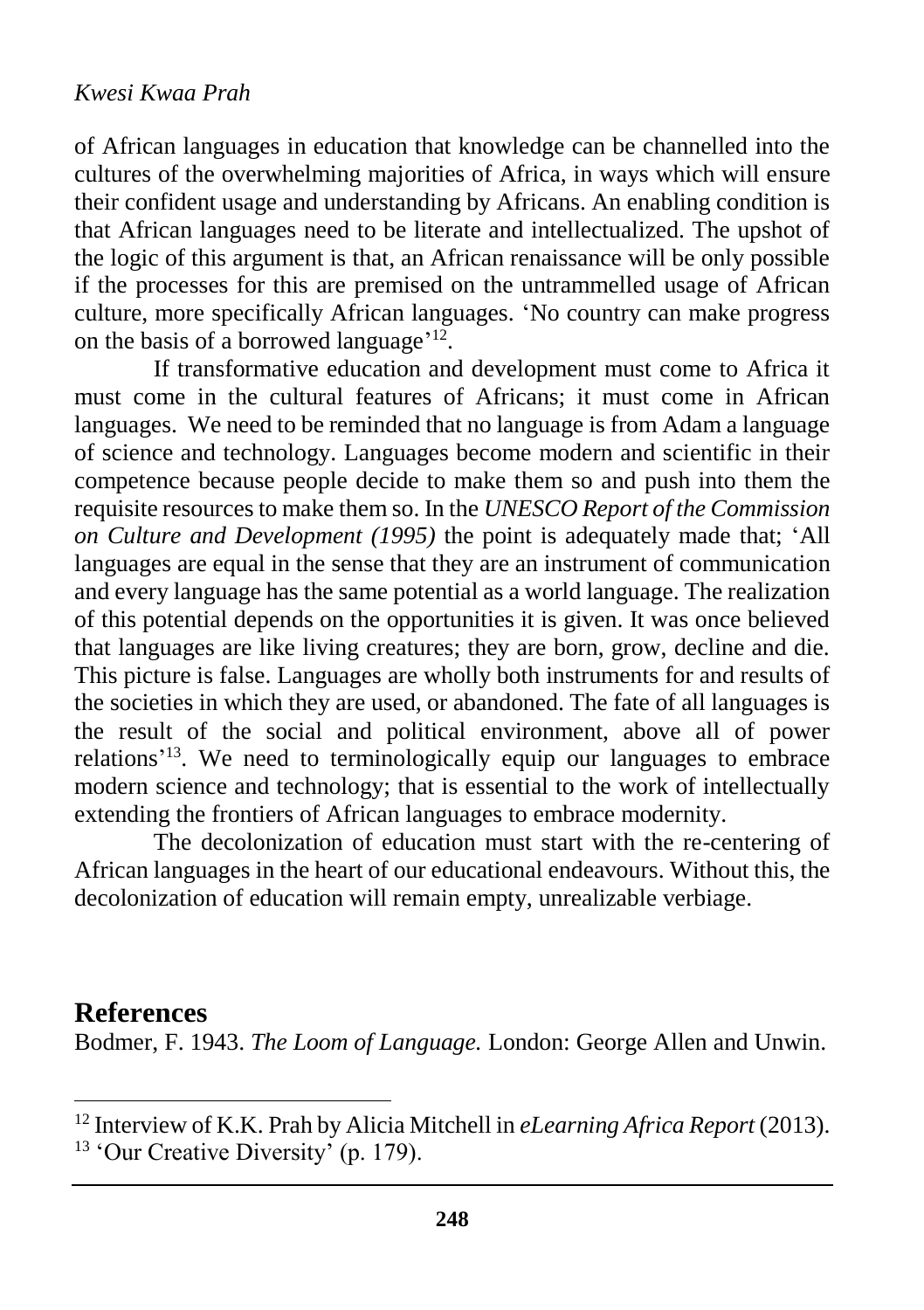of African languages in education that knowledge can be channelled into the cultures of the overwhelming majorities of Africa, in ways which will ensure their confident usage and understanding by Africans. An enabling condition is that African languages need to be literate and intellectualized. The upshot of the logic of this argument is that, an African renaissance will be only possible if the processes for this are premised on the untrammelled usage of African culture, more specifically African languages. 'No country can make progress on the basis of a borrowed language<sup>'12</sup>.

If transformative education and development must come to Africa it must come in the cultural features of Africans; it must come in African languages. We need to be reminded that no language is from Adam a language of science and technology. Languages become modern and scientific in their competence because people decide to make them so and push into them the requisite resources to make them so. In the *UNESCO Report of the Commission on Culture and Development (1995)* the point is adequately made that; 'All languages are equal in the sense that they are an instrument of communication and every language has the same potential as a world language. The realization of this potential depends on the opportunities it is given. It was once believed that languages are like living creatures; they are born, grow, decline and die. This picture is false. Languages are wholly both instruments for and results of the societies in which they are used, or abandoned. The fate of all languages is the result of the social and political environment, above all of power relations'<sup>13</sup>. We need to terminologically equip our languages to embrace modern science and technology; that is essential to the work of intellectually extending the frontiers of African languages to embrace modernity.

The decolonization of education must start with the re-centering of African languages in the heart of our educational endeavours. Without this, the decolonization of education will remain empty, unrealizable verbiage.

### **References**

 $\overline{a}$ 

Bodmer, F. 1943. *The Loom of Language.* London: George Allen and Unwin.

<sup>12</sup> Interview of K.K. Prah by Alicia Mitchell in *eLearning Africa Report* (2013).  $13$  'Our Creative Diversity' (p. 179).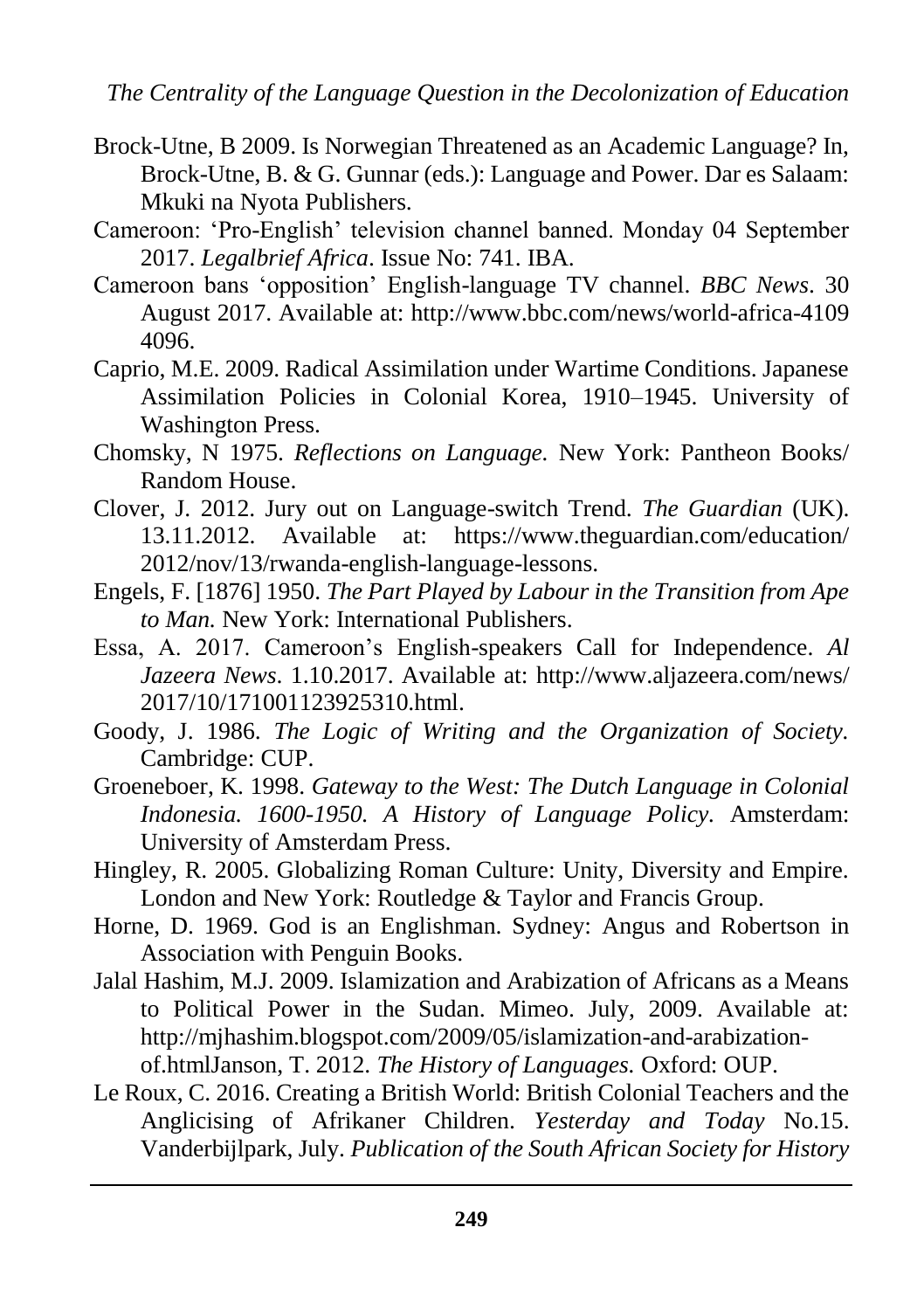- Brock-Utne, B 2009. Is Norwegian Threatened as an Academic Language? In, Brock-Utne, B. & G. Gunnar (eds.): Language and Power. Dar es Salaam: Mkuki na Nyota Publishers.
- Cameroon: 'Pro-English' television channel banned. Monday 04 September 2017. *Legalbrief Africa*. Issue No: 741. IBA.
- Cameroon bans 'opposition' English-language TV channel. *BBC News*. 30 August 2017. Available at:<http://www.bbc.com/news/world-africa-4109> 4096.
- Caprio, M.E. 2009. Radical Assimilation under Wartime Conditions. Japanese Assimilation Policies in Colonial Korea, 1910–1945. University of Washington Press.
- Chomsky, N 1975. *Reflections on Language.* New York: Pantheon Books/ Random House.
- Clover, J. 2012. Jury out on Language-switch Trend. *The Guardian* (UK). 13.11.2012. Available at: <https://www.theguardian.com/education/> 2012/nov/13/rwanda-english-language-lessons.
- Engels, F. [1876] 1950. *The Part Played by Labour in the Transition from Ape to Man.* New York: International Publishers.
- Essa, A. 2017. Cameroon's English-speakers Call for Independence. *Al Jazeera News*. 1.10.2017. Available at:<http://www.aljazeera.com/news/> 2017/10/171001123925310.html
- Goody, J. 1986. *The Logic of Writing and the Organization of Society.* Cambridge: CUP.
- Groeneboer, K. 1998. *Gateway to the West: The Dutch Language in Colonial Indonesia. 1600-1950. A History of Language Policy.* Amsterdam: University of Amsterdam Press.
- Hingley, R. 2005. Globalizing Roman Culture: Unity, Diversity and Empire. London and New York: Routledge & Taylor and Francis Group.
- Horne, D. 1969. God is an Englishman. Sydney: Angus and Robertson in Association with Penguin Books.
- Jalal Hashim, M.J. 2009. Islamization and Arabization of Africans as a Means to Political Power in the Sudan. Mimeo. July, 2009. Available at: [http://mjhashim.blogspot.com/2009/05/islamization-and-arabization](http://mjhashim.blogspot.com/2009/05/islamization-and-arabization-of.html)[of.htmlJ](http://mjhashim.blogspot.com/2009/05/islamization-and-arabization-of.html)anson, T. 2012. *The History of Languages.* Oxford: OUP.
- Le Roux, C. 2016. Creating a British World: British Colonial Teachers and the Anglicising of Afrikaner Children. *Yesterday and Today* No.15. Vanderbijlpark, July. *Publication of the South African Society for History*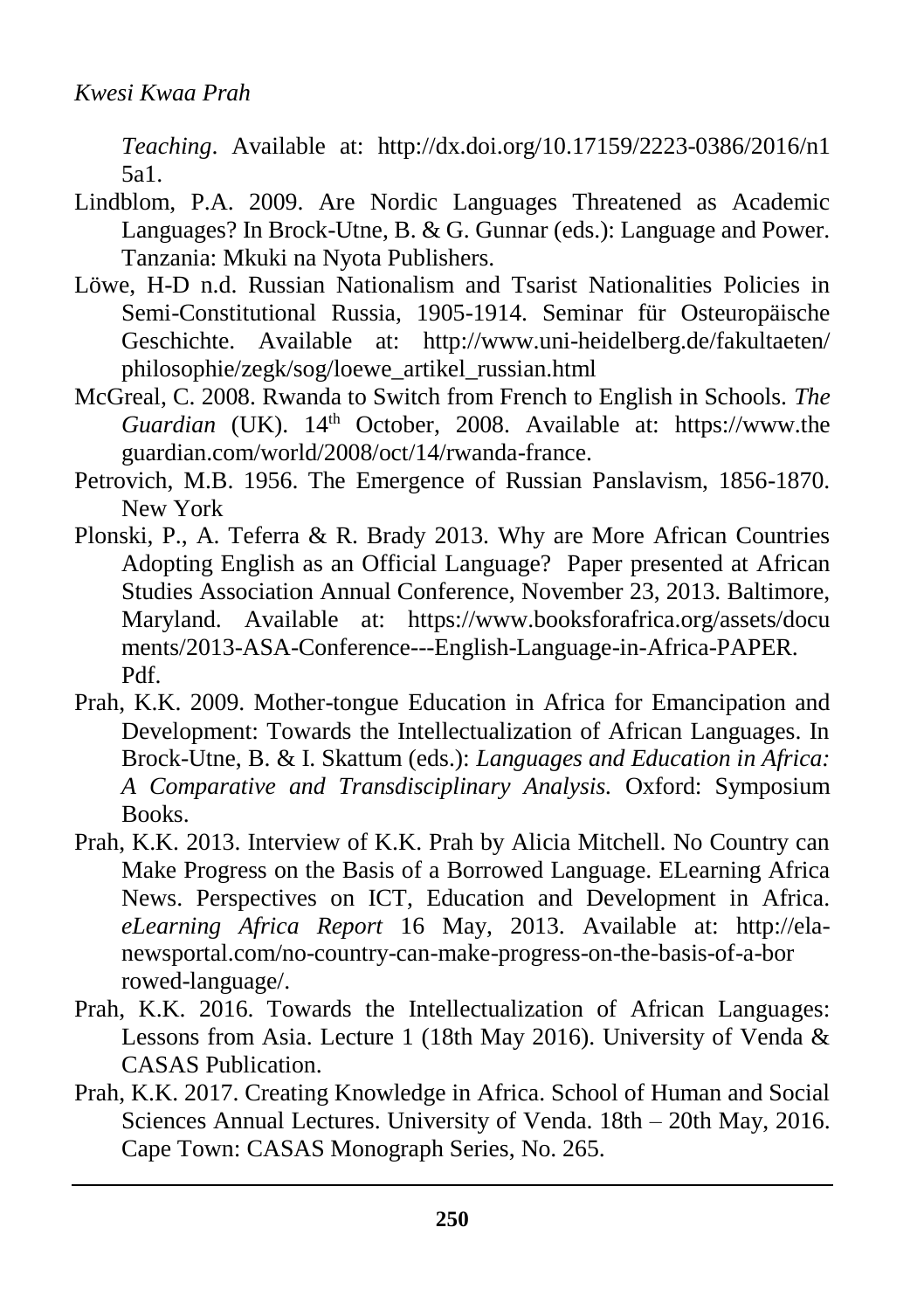*Teaching*. Available at: [http://dx.doi.org/10.17159/2223-0386/2016/n](http://dx.doi.org/10.17159/2223-0386/2016/)1 5a1.

- Lindblom, P.A. 2009. Are Nordic Languages Threatened as Academic Languages? In Brock-Utne, B. & G. Gunnar (eds.): Language and Power. Tanzania: Mkuki na Nyota Publishers.
- Löwe, H-D n.d. Russian Nationalism and Tsarist Nationalities Policies in Semi-Constitutional Russia, 1905-1914. Seminar für Osteuropäische Geschichte. Available at: [http://www.uni-heidelberg.de/fakultaeten/](http://www.uni-heidelberg.de/fakultaeten/%20philosophie/zegk/sog/loewe_artikel_russian.html)  [philosophie/zegk/sog/loewe\\_artikel\\_russian.html](http://www.uni-heidelberg.de/fakultaeten/%20philosophie/zegk/sog/loewe_artikel_russian.html)
- McGreal, C. 2008. Rwanda to Switch from French to English in Schools. *The*  Guardian (UK). 14<sup>th</sup> October, 2008. Available at: [https://www.the](https://www.the/) guardian.com/world/2008/oct/14/rwanda-france.
- Petrovich, M.B. 1956. The Emergence of Russian Panslavism, 1856-1870. New York
- Plonski, P., A. Teferra & R. Brady 2013. Why are More African Countries Adopting English as an Official Language? Paper presented at African Studies Association Annual Conference, November 23, 2013. Baltimore, Maryland. Available at: <https://www.booksforafrica.org/assets/docu> ments/2013-ASA-Conference---English-Language-in-Africa-PAPER. Pdf.
- Prah, K.K. 2009. Mother-tongue Education in Africa for Emancipation and Development: Towards the Intellectualization of African Languages. In Brock-Utne, B. & I. Skattum (eds.): *Languages and Education in Africa: A Comparative and Transdisciplinary Analysis.* Oxford: Symposium Books.
- Prah, K.K. 2013. Interview of K.K. Prah by Alicia Mitchell. No Country can Make Progress on the Basis of a Borrowed Language. ELearning Africa News. Perspectives on ICT, Education and Development in Africa. *eLearning Africa Report* 16 May, 2013. Available at: [http://ela](http://ela-newsportal.com/no-country-can-make-progress-on-the-basis-of-a-bor)[newsportal.com/no-country-can-make-progress-on-the-basis-of-a-bor](http://ela-newsportal.com/no-country-can-make-progress-on-the-basis-of-a-bor) rowed-language/.
- Prah, K.K. 2016. Towards the Intellectualization of African Languages: Lessons from Asia. Lecture 1 (18th May 2016). University of Venda & CASAS Publication.
- Prah, K.K. 2017. Creating Knowledge in Africa. School of Human and Social Sciences Annual Lectures. University of Venda. 18th – 20th May, 2016. Cape Town: CASAS Monograph Series, No. 265.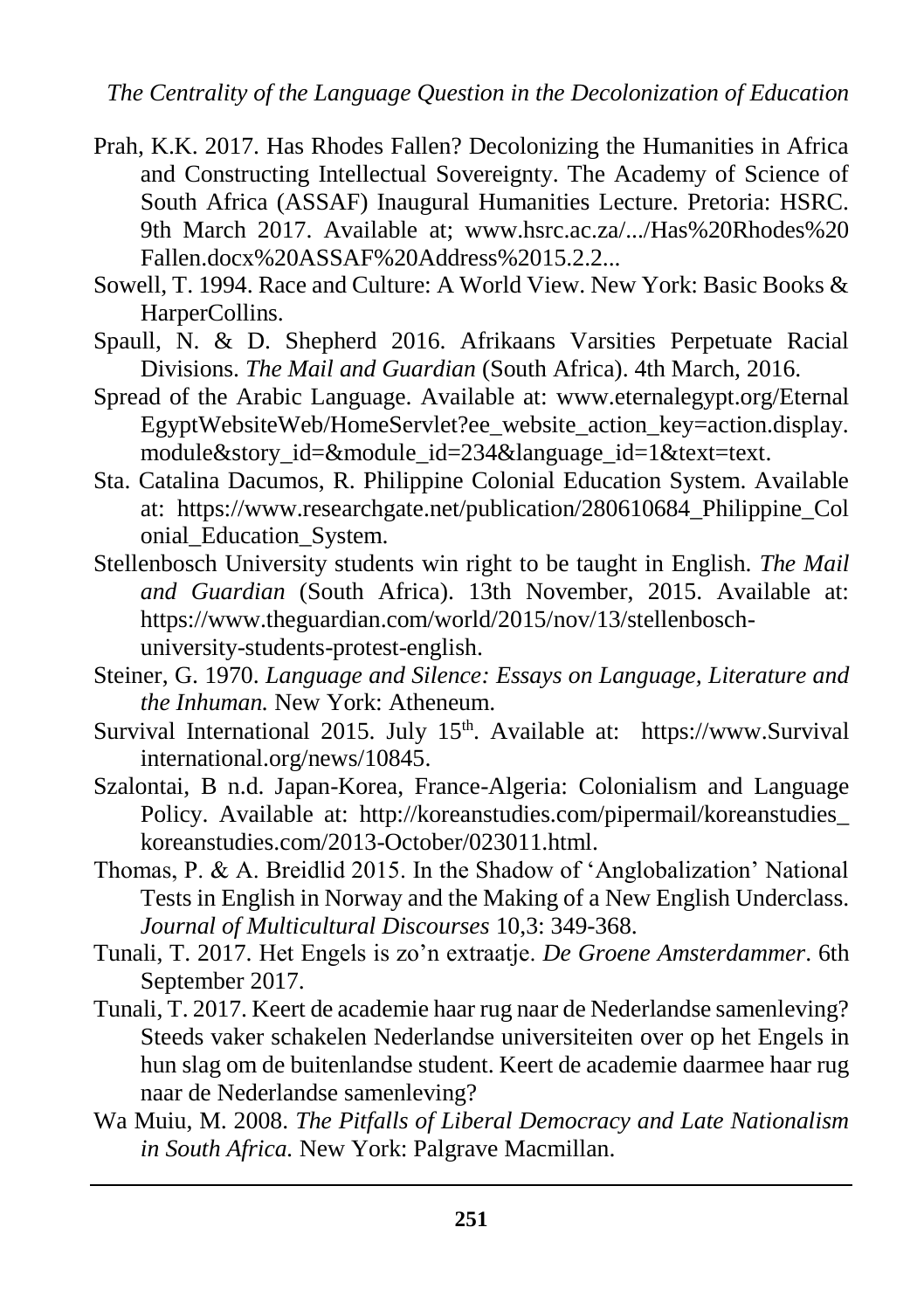- Prah, K.K. 2017. Has Rhodes Fallen? Decolonizing the Humanities in Africa and Constructing Intellectual Sovereignty. The Academy of Science of South Africa (ASSAF) Inaugural Humanities Lecture. Pretoria: HSRC. 9th March 2017. Available at; [www.hsrc.ac.za/.../Has%20Rhodes%20](http://www.hsrc.ac.za/.../Has%20Rhodes) Fallen.docx%20ASSAF%20Address%2015.2.2...
- Sowell, T. 1994. Race and Culture: A World View. New York: Basic Books & HarperCollins.
- Spaull, N. & D. Shepherd 2016. Afrikaans Varsities Perpetuate Racial Divisions. *The Mail and Guardian* (South Africa). 4th March, 2016.
- Spread of the Arabic Language. Available at: [www.eternalegypt.org/Eternal](http://www.eternalegypt.org/Eternal%20EgyptWebsiteWeb/HomeServlet?ee_website_action_key=action.display.module&story_id=&module_id=234&language_id=1&text=text)  [EgyptWebsiteWeb/HomeServlet?ee\\_website\\_action\\_key=action.display.](http://www.eternalegypt.org/Eternal%20EgyptWebsiteWeb/HomeServlet?ee_website_action_key=action.display.module&story_id=&module_id=234&language_id=1&text=text) [module&story\\_id=&module\\_id=234&language\\_id=1&text=text.](http://www.eternalegypt.org/Eternal%20EgyptWebsiteWeb/HomeServlet?ee_website_action_key=action.display.module&story_id=&module_id=234&language_id=1&text=text)
- Sta. Catalina Dacumos, R. Philippine Colonial Education System. Available at: [https://www.researchgate.net/publication/280610684\\_Philippine\\_Col](https://www.researchgate.net/publication/280610684_Philippine_Col) onial\_Education\_System.
- Stellenbosch University students win right to be taught in English. *The Mail and Guardian* (South Africa). 13th November, 2015. Available at: [https://www.theguardian.com/world/2015/nov/13/stellenbosch](https://www.theguardian.com/world/2015/nov/13/stellenbosch-university-students-protest-english)[university-students-protest-english.](https://www.theguardian.com/world/2015/nov/13/stellenbosch-university-students-protest-english)
- Steiner, G. 1970. *Language and Silence: Essays on Language, Literature and the Inhuman.* New York: Atheneum.
- Survival International 2015. July 15<sup>th</sup>. Available at: [https://www.](https://www/)Survival international.org/news/10845.
- Szalontai, B n.d. Japan-Korea, France-Algeria: Colonialism and Language Policy. Available at: [http://koreanstudies.com/pipermail/koreanstudies\\_](http://koreanstudies.com/pipermail/koreanstudies_%20koreanstudies.com/2013-October/023011.html)  [koreanstudies.com/2013-October/023011.html.](http://koreanstudies.com/pipermail/koreanstudies_%20koreanstudies.com/2013-October/023011.html)
- Thomas, P. & A. Breidlid 2015. In the Shadow of 'Anglobalization' National Tests in English in Norway and the Making of a New English Underclass. *Journal of Multicultural Discourses* 10,3: 349-368.
- Tunali, T. 2017. Het Engels is zo'n extraatje. *De Groene Amsterdammer*. 6th September 2017.
- Tunali, T. 2017. Keert de academie haar rug naar de Nederlandse samenleving? Steeds vaker schakelen Nederlandse universiteiten over op het Engels in hun slag om de buitenlandse student. Keert de academie daarmee haar rug naar de Nederlandse samenleving?
- Wa Muiu, M. 2008. *The Pitfalls of Liberal Democracy and Late Nationalism in South Africa.* New York: Palgrave Macmillan.